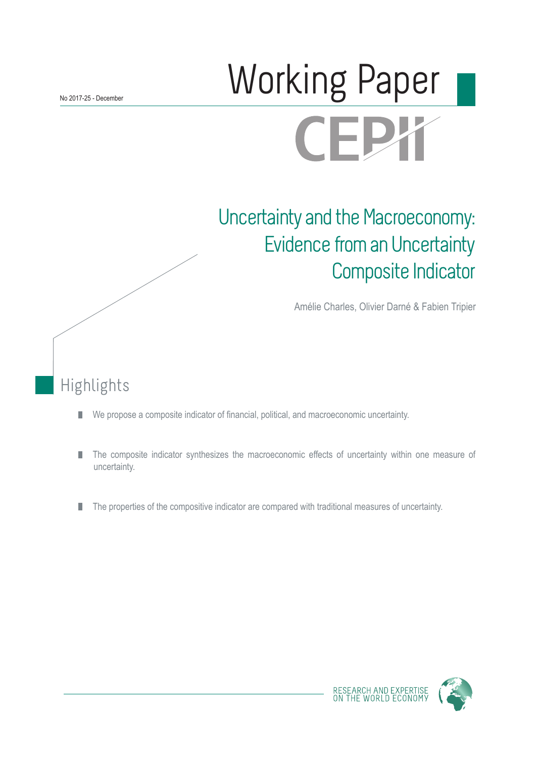# Working Paper **CEPY**

## Uncertainty and the Macroeconomy: Evidence from an Uncertainty Composite Indicator

Amélie Charles, Olivier Darné & Fabien Tripier

## Highlights

- We propose a composite indicator of financial, political, and macroeconomic uncertainty.  $\mathcal{C}$
- The composite indicator synthesizes the macroeconomic effects of uncertainty within one measure of П uncertainty.
- The properties of the compositive indicator are compared with traditional measures of uncertainty. П



RESEARCH AND EXPERTIS<br>ON THE WORLD ECONOM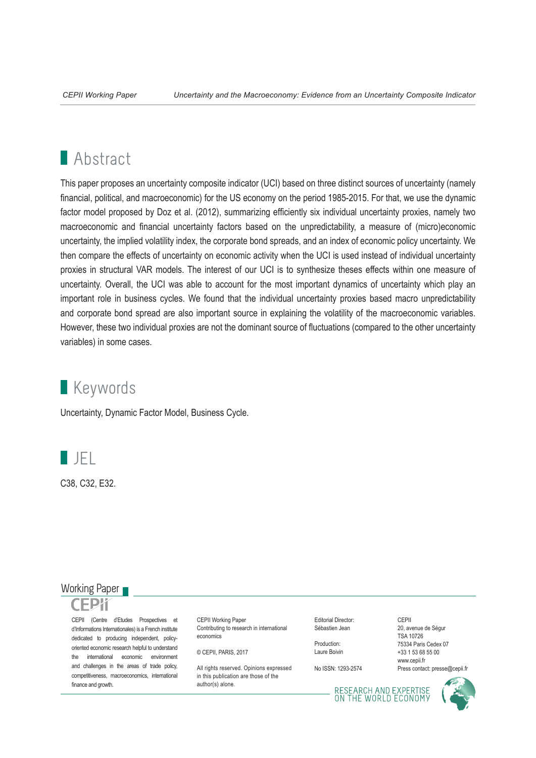## **Abstract**

This paper proposes an uncertainty composite indicator (UCI) based on three distinct sources of uncertainty (namely financial, political, and macroeconomic) for the US economy on the period 1985-2015. For that, we use the dynamic factor model proposed by Doz et al. (2012), summarizing efficiently six individual uncertainty proxies, namely two macroeconomic and financial uncertainty factors based on the unpredictability, a measure of (micro)economic uncertainty, the implied volatility index, the corporate bond spreads, and an index of economic policy uncertainty. We then compare the effects of uncertainty on economic activity when the UCI is used instead of individual uncertainty proxies in structural VAR models. The interest of our UCI is to synthesize theses effects within one measure of uncertainty. Overall, the UCI was able to account for the most important dynamics of uncertainty which play an important role in business cycles. We found that the individual uncertainty proxies based macro unpredictability and corporate bond spread are also important source in explaining the volatility of the macroeconomic variables. However, these two individual proxies are not the dominant source of fluctuations (compared to the other uncertainty variables) in some cases.

## **Keywords**

Uncertainty, Dynamic Factor Model, Business Cycle.



C38, C32, E32.

#### Working Paper

CEPII (Centre d'Etudes Prospectives et d'Informations Internationales) is a French institute dedicated to producing independent, policyoriented economic research helpful to understand the international economic environment and challenges in the areas of trade policy, competitiveness, macroeconomics, international finance and growth.

CEPII Working Paper Contributing to research in international economics

© CEPII, PARIS, 2017

All rights reserved. Opinions expressed. in this publication are those of the author(s) alone.

Editorial Director: Sébastien Jean

Production: Laure Boivin

No ISSN: 1293-2574

CEPII 20, avenue de Ségur TSA 10726 75334 Paris Cedex 07 +33 1 53 68 55 00 www.cepii.fr Press contact: presse@cepii.fr

RESEARCH AND EXPERTISE<br>ON THE WORLD ECONOMY

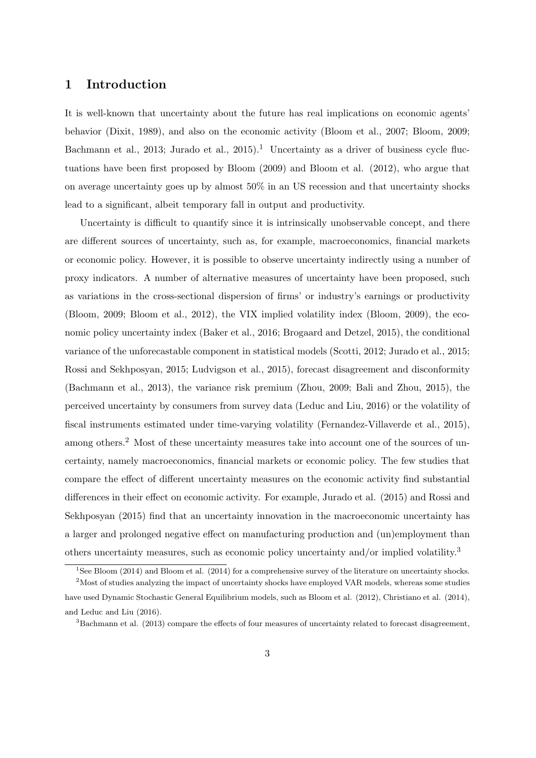### 1 Introduction

It is well-known that uncertainty about the future has real implications on economic agents' behavior (Dixit, 1989), and also on the economic activity (Bloom et al., 2007; Bloom, 2009; Bachmann et al., 2013; Jurado et al., 2015).<sup>1</sup> Uncertainty as a driver of business cycle fluctuations have been first proposed by Bloom (2009) and Bloom et al. (2012), who argue that on average uncertainty goes up by almost 50% in an US recession and that uncertainty shocks lead to a significant, albeit temporary fall in output and productivity.

Uncertainty is difficult to quantify since it is intrinsically unobservable concept, and there are different sources of uncertainty, such as, for example, macroeconomics, financial markets or economic policy. However, it is possible to observe uncertainty indirectly using a number of proxy indicators. A number of alternative measures of uncertainty have been proposed, such as variations in the cross-sectional dispersion of firms' or industry's earnings or productivity (Bloom, 2009; Bloom et al., 2012), the VIX implied volatility index (Bloom, 2009), the economic policy uncertainty index (Baker et al., 2016; Brogaard and Detzel, 2015), the conditional variance of the unforecastable component in statistical models (Scotti, 2012; Jurado et al., 2015; Rossi and Sekhposyan, 2015; Ludvigson et al., 2015), forecast disagreement and disconformity (Bachmann et al., 2013), the variance risk premium (Zhou, 2009; Bali and Zhou, 2015), the perceived uncertainty by consumers from survey data (Leduc and Liu, 2016) or the volatility of fiscal instruments estimated under time-varying volatility (Fernandez-Villaverde et al., 2015), among others.<sup>2</sup> Most of these uncertainty measures take into account one of the sources of uncertainty, namely macroeconomics, financial markets or economic policy. The few studies that compare the effect of different uncertainty measures on the economic activity find substantial differences in their effect on economic activity. For example, Jurado et al. (2015) and Rossi and Sekhposyan (2015) find that an uncertainty innovation in the macroeconomic uncertainty has a larger and prolonged negative effect on manufacturing production and (un)employment than others uncertainty measures, such as economic policy uncertainty and/or implied volatility.<sup>3</sup>

<sup>&</sup>lt;sup>1</sup>See Bloom (2014) and Bloom et al. (2014) for a comprehensive survey of the literature on uncertainty shocks.

<sup>&</sup>lt;sup>2</sup>Most of studies analyzing the impact of uncertainty shocks have employed VAR models, whereas some studies have used Dynamic Stochastic General Equilibrium models, such as Bloom et al. (2012), Christiano et al. (2014), and Leduc and Liu (2016).

<sup>3</sup>Bachmann et al. (2013) compare the effects of four measures of uncertainty related to forecast disagreement,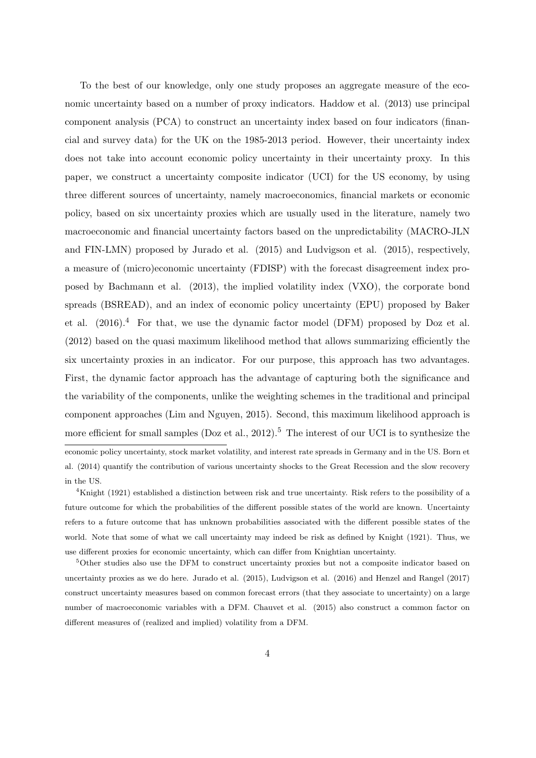To the best of our knowledge, only one study proposes an aggregate measure of the economic uncertainty based on a number of proxy indicators. Haddow et al. (2013) use principal component analysis (PCA) to construct an uncertainty index based on four indicators (financial and survey data) for the UK on the 1985-2013 period. However, their uncertainty index does not take into account economic policy uncertainty in their uncertainty proxy. In this paper, we construct a uncertainty composite indicator (UCI) for the US economy, by using three different sources of uncertainty, namely macroeconomics, financial markets or economic policy, based on six uncertainty proxies which are usually used in the literature, namely two macroeconomic and financial uncertainty factors based on the unpredictability (MACRO-JLN and FIN-LMN) proposed by Jurado et al. (2015) and Ludvigson et al. (2015), respectively, a measure of (micro)economic uncertainty (FDISP) with the forecast disagreement index proposed by Bachmann et al. (2013), the implied volatility index (VXO), the corporate bond spreads (BSREAD), and an index of economic policy uncertainty (EPU) proposed by Baker et al.  $(2016).<sup>4</sup>$  For that, we use the dynamic factor model (DFM) proposed by Doz et al. (2012) based on the quasi maximum likelihood method that allows summarizing efficiently the six uncertainty proxies in an indicator. For our purpose, this approach has two advantages. First, the dynamic factor approach has the advantage of capturing both the significance and the variability of the components, unlike the weighting schemes in the traditional and principal component approaches (Lim and Nguyen, 2015). Second, this maximum likelihood approach is more efficient for small samples (Doz et al., 2012).<sup>5</sup> The interest of our UCI is to synthesize the economic policy uncertainty, stock market volatility, and interest rate spreads in Germany and in the US. Born et al. (2014) quantify the contribution of various uncertainty shocks to the Great Recession and the slow recovery in the US.

<sup>4</sup>Knight (1921) established a distinction between risk and true uncertainty. Risk refers to the possibility of a future outcome for which the probabilities of the different possible states of the world are known. Uncertainty refers to a future outcome that has unknown probabilities associated with the different possible states of the world. Note that some of what we call uncertainty may indeed be risk as defined by Knight (1921). Thus, we use different proxies for economic uncertainty, which can differ from Knightian uncertainty.

<sup>5</sup>Other studies also use the DFM to construct uncertainty proxies but not a composite indicator based on uncertainty proxies as we do here. Jurado et al. (2015), Ludvigson et al. (2016) and Henzel and Rangel (2017) construct uncertainty measures based on common forecast errors (that they associate to uncertainty) on a large number of macroeconomic variables with a DFM. Chauvet et al. (2015) also construct a common factor on different measures of (realized and implied) volatility from a DFM.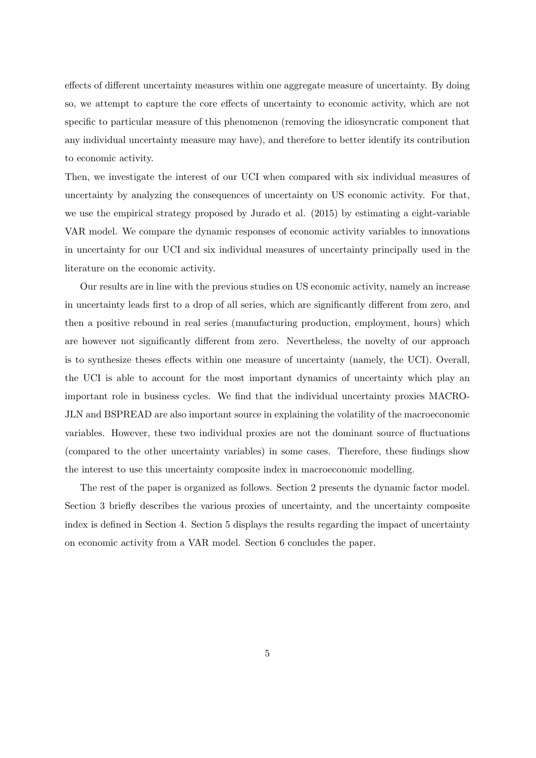effects of different uncertainty measures within one aggregate measure of uncertainty. By doing so, we attempt to capture the core effects of uncertainty to economic activity, which are not specific to particular measure of this phenomenon (removing the idiosyncratic component that any individual uncertainty measure may have), and therefore to better identify its contribution to economic activity.

Then, we investigate the interest of our UCI when compared with six individual measures of uncertainty by analyzing the consequences of uncertainty on US economic activity. For that, we use the empirical strategy proposed by Jurado et al. (2015) by estimating a eight-variable VAR model. We compare the dynamic responses of economic activity variables to innovations in uncertainty for our UCI and six individual measures of uncertainty principally used in the literature on the economic activity.

Our results are in line with the previous studies on US economic activity, namely an increase in uncertainty leads first to a drop of all series, which are significantly different from zero, and then a positive rebound in real series (manufacturing production, employment, hours) which are however not significantly different from zero. Nevertheless, the novelty of our approach is to synthesize theses effects within one measure of uncertainty (namely, the UCI). Overall, the UCI is able to account for the most important dynamics of uncertainty which play an important role in business cycles. We find that the individual uncertainty proxies MACRO-JLN and BSPREAD are also important source in explaining the volatility of the macroeconomic variables. However, these two individual proxies are not the dominant source of fluctuations (compared to the other uncertainty variables) in some cases. Therefore, these findings show the interest to use this uncertainty composite index in macroeconomic modelling.

The rest of the paper is organized as follows. Section 2 presents the dynamic factor model. Section 3 briefly describes the various proxies of uncertainty, and the uncertainty composite index is defined in Section 4. Section 5 displays the results regarding the impact of uncertainty on economic activity from a VAR model. Section 6 concludes the paper.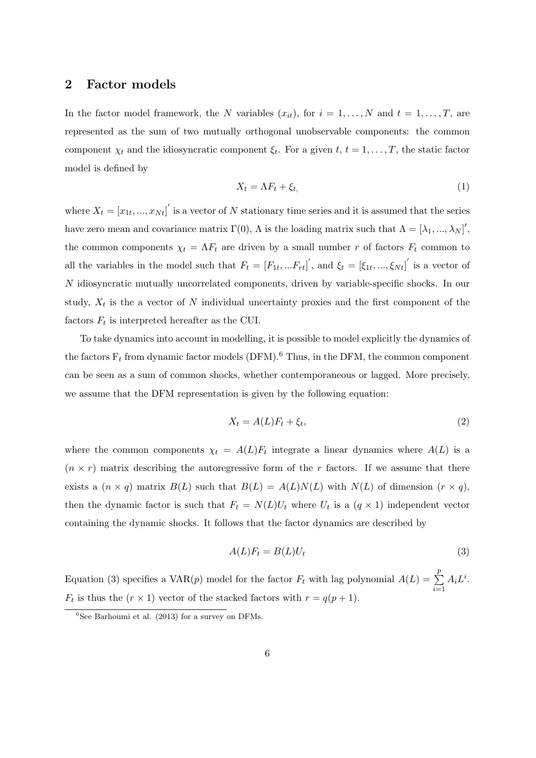#### 2 Factor models

In the factor model framework, the N variables  $(x_{it})$ , for  $i = 1, ..., N$  and  $t = 1, ..., T$ , are represented as the sum of two mutually orthogonal unobservable components: the common component  $\chi_t$  and the idiosyncratic component  $\xi_t$ . For a given  $t, t = 1, \ldots, T$ , the static factor model is defined by

$$
X_t = \Lambda F_t + \xi_t,\tag{1}
$$

where  $X_t = [x_{1t}, ..., x_{Nt}]'$  is a vector of N stationary time series and it is assumed that the series have zero mean and covariance matrix  $\Gamma(0)$ ,  $\Lambda$  is the loading matrix such that  $\Lambda = [\lambda_1, ..., \lambda_N]^{\prime}$ , the common components  $\chi_t = \Lambda F_t$  are driven by a small number r of factors  $F_t$  common to all the variables in the model such that  $F_t = [F_{1t},...F_{rt}]'$ , and  $\xi_t = [\xi_{1t},...,\xi_{Nt}]'$  is a vector of N idiosyncratic mutually uncorrelated components, driven by variable-specific shocks. In our study,  $X_t$  is the a vector of N individual uncertainty proxies and the first component of the factors  $F_t$  is interpreted hereafter as the CUI.

To take dynamics into account in modelling, it is possible to model explicitly the dynamics of the factors  $F_t$  from dynamic factor models (DFM).<sup>6</sup> Thus, in the DFM, the common component can be seen as a sum of common shocks, whether contemporaneous or lagged. More precisely, we assume that the DFM representation is given by the following equation:

$$
X_t = A(L)F_t + \xi_t,\tag{2}
$$

where the common components  $\chi_t = A(L)F_t$  integrate a linear dynamics where  $A(L)$  is a  $(n \times r)$  matrix describing the autoregressive form of the r factors. If we assume that there exists a  $(n \times q)$  matrix  $B(L)$  such that  $B(L) = A(L)N(L)$  with  $N(L)$  of dimension  $(r \times q)$ , then the dynamic factor is such that  $F_t = N(L)U_t$  where  $U_t$  is a  $(q \times 1)$  independent vector containing the dynamic shocks. It follows that the factor dynamics are described by

$$
A(L)F_t = B(L)U_t \tag{3}
$$

Equation (3) specifies a VAR(p) model for the factor  $F_t$  with lag polynomial  $A(L) = \sum$ p  $i=1$  $A_i L^i$ .  $F_t$  is thus the  $(r \times 1)$  vector of the stacked factors with  $r = q(p+1)$ .

 ${}^{6}$ See Barhoumi et al. (2013) for a survey on DFMs.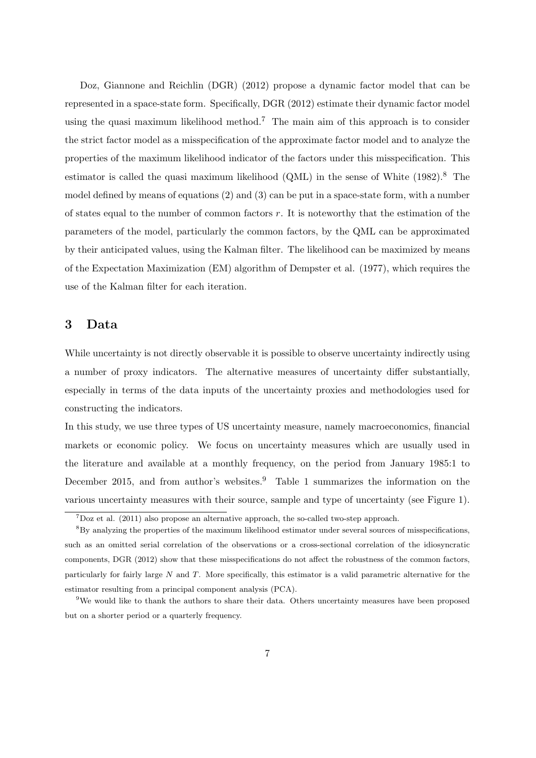Doz, Giannone and Reichlin (DGR) (2012) propose a dynamic factor model that can be represented in a space-state form. Specifically, DGR (2012) estimate their dynamic factor model using the quasi maximum likelihood method.<sup>7</sup> The main aim of this approach is to consider the strict factor model as a misspecification of the approximate factor model and to analyze the properties of the maximum likelihood indicator of the factors under this misspecification. This estimator is called the quasi maximum likelihood  $(QML)$  in the sense of White  $(1982)$ .<sup>8</sup> The model defined by means of equations (2) and (3) can be put in a space-state form, with a number of states equal to the number of common factors  $r$ . It is noteworthy that the estimation of the parameters of the model, particularly the common factors, by the QML can be approximated by their anticipated values, using the Kalman filter. The likelihood can be maximized by means of the Expectation Maximization (EM) algorithm of Dempster et al. (1977), which requires the use of the Kalman filter for each iteration.

#### 3 Data

While uncertainty is not directly observable it is possible to observe uncertainty indirectly using a number of proxy indicators. The alternative measures of uncertainty differ substantially, especially in terms of the data inputs of the uncertainty proxies and methodologies used for constructing the indicators.

In this study, we use three types of US uncertainty measure, namely macroeconomics, financial markets or economic policy. We focus on uncertainty measures which are usually used in the literature and available at a monthly frequency, on the period from January 1985:1 to December 2015, and from author's websites.<sup>9</sup> Table 1 summarizes the information on the various uncertainty measures with their source, sample and type of uncertainty (see Figure 1).

 $7$ Doz et al. (2011) also propose an alternative approach, the so-called two-step approach.

<sup>8</sup>By analyzing the properties of the maximum likelihood estimator under several sources of misspecifications, such as an omitted serial correlation of the observations or a cross-sectional correlation of the idiosyncratic components, DGR (2012) show that these misspecifications do not affect the robustness of the common factors, particularly for fairly large  $N$  and  $T$ . More specifically, this estimator is a valid parametric alternative for the estimator resulting from a principal component analysis (PCA).

<sup>&</sup>lt;sup>9</sup>We would like to thank the authors to share their data. Others uncertainty measures have been proposed but on a shorter period or a quarterly frequency.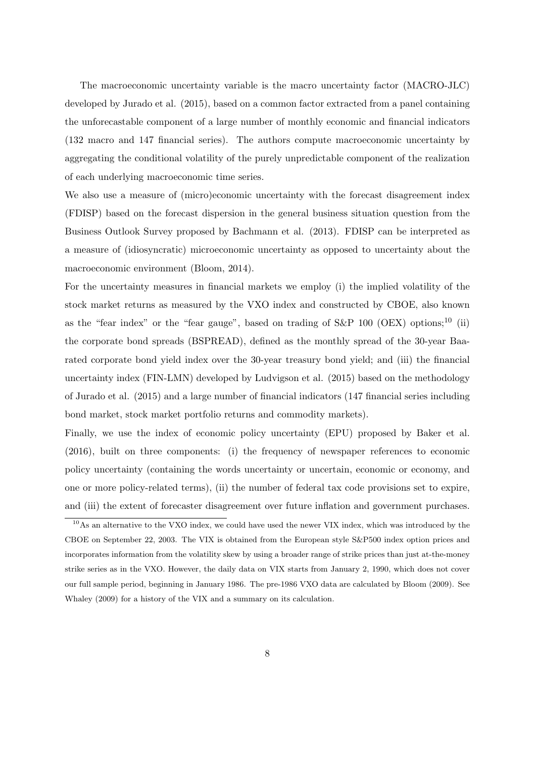The macroeconomic uncertainty variable is the macro uncertainty factor (MACRO-JLC) developed by Jurado et al. (2015), based on a common factor extracted from a panel containing the unforecastable component of a large number of monthly economic and financial indicators (132 macro and 147 financial series). The authors compute macroeconomic uncertainty by aggregating the conditional volatility of the purely unpredictable component of the realization of each underlying macroeconomic time series.

We also use a measure of (micro)economic uncertainty with the forecast disagreement index (FDISP) based on the forecast dispersion in the general business situation question from the Business Outlook Survey proposed by Bachmann et al. (2013). FDISP can be interpreted as a measure of (idiosyncratic) microeconomic uncertainty as opposed to uncertainty about the macroeconomic environment (Bloom, 2014).

For the uncertainty measures in financial markets we employ (i) the implied volatility of the stock market returns as measured by the VXO index and constructed by CBOE, also known as the "fear index" or the "fear gauge", based on trading of  $S\&P$  100 (OEX) options;<sup>10</sup> (ii) the corporate bond spreads (BSPREAD), defined as the monthly spread of the 30-year Baarated corporate bond yield index over the 30-year treasury bond yield; and (iii) the financial uncertainty index (FIN-LMN) developed by Ludvigson et al. (2015) based on the methodology of Jurado et al. (2015) and a large number of financial indicators (147 financial series including bond market, stock market portfolio returns and commodity markets).

Finally, we use the index of economic policy uncertainty (EPU) proposed by Baker et al. (2016), built on three components: (i) the frequency of newspaper references to economic policy uncertainty (containing the words uncertainty or uncertain, economic or economy, and one or more policy-related terms), (ii) the number of federal tax code provisions set to expire, and (iii) the extent of forecaster disagreement over future inflation and government purchases.

<sup>10</sup>As an alternative to the VXO index, we could have used the newer VIX index, which was introduced by the CBOE on September 22, 2003. The VIX is obtained from the European style S&P500 index option prices and incorporates information from the volatility skew by using a broader range of strike prices than just at-the-money strike series as in the VXO. However, the daily data on VIX starts from January 2, 1990, which does not cover our full sample period, beginning in January 1986. The pre-1986 VXO data are calculated by Bloom (2009). See Whaley (2009) for a history of the VIX and a summary on its calculation.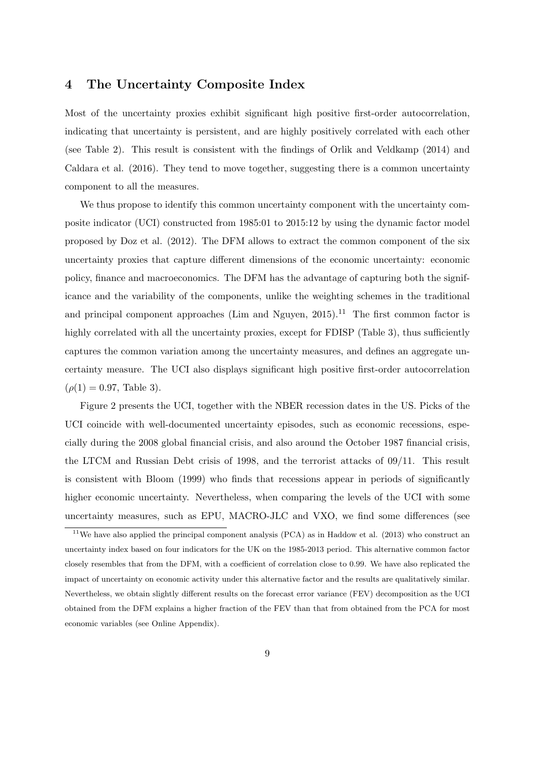#### 4 The Uncertainty Composite Index

Most of the uncertainty proxies exhibit significant high positive first-order autocorrelation, indicating that uncertainty is persistent, and are highly positively correlated with each other (see Table 2). This result is consistent with the findings of Orlik and Veldkamp (2014) and Caldara et al. (2016). They tend to move together, suggesting there is a common uncertainty component to all the measures.

We thus propose to identify this common uncertainty component with the uncertainty composite indicator (UCI) constructed from 1985:01 to 2015:12 by using the dynamic factor model proposed by Doz et al. (2012). The DFM allows to extract the common component of the six uncertainty proxies that capture different dimensions of the economic uncertainty: economic policy, finance and macroeconomics. The DFM has the advantage of capturing both the significance and the variability of the components, unlike the weighting schemes in the traditional and principal component approaches (Lim and Nguyen,  $2015$ ).<sup>11</sup> The first common factor is highly correlated with all the uncertainty proxies, except for FDISP (Table 3), thus sufficiently captures the common variation among the uncertainty measures, and defines an aggregate uncertainty measure. The UCI also displays significant high positive first-order autocorrelation  $(\rho(1) = 0.97,$  Table 3).

Figure 2 presents the UCI, together with the NBER recession dates in the US. Picks of the UCI coincide with well-documented uncertainty episodes, such as economic recessions, especially during the 2008 global financial crisis, and also around the October 1987 financial crisis, the LTCM and Russian Debt crisis of 1998, and the terrorist attacks of 09/11. This result is consistent with Bloom (1999) who finds that recessions appear in periods of significantly higher economic uncertainty. Nevertheless, when comparing the levels of the UCI with some uncertainty measures, such as EPU, MACRO-JLC and VXO, we find some differences (see

<sup>&</sup>lt;sup>11</sup>We have also applied the principal component analysis (PCA) as in Haddow et al. (2013) who construct an uncertainty index based on four indicators for the UK on the 1985-2013 period. This alternative common factor closely resembles that from the DFM, with a coefficient of correlation close to 0.99. We have also replicated the impact of uncertainty on economic activity under this alternative factor and the results are qualitatively similar. Nevertheless, we obtain slightly different results on the forecast error variance (FEV) decomposition as the UCI obtained from the DFM explains a higher fraction of the FEV than that from obtained from the PCA for most economic variables (see Online Appendix).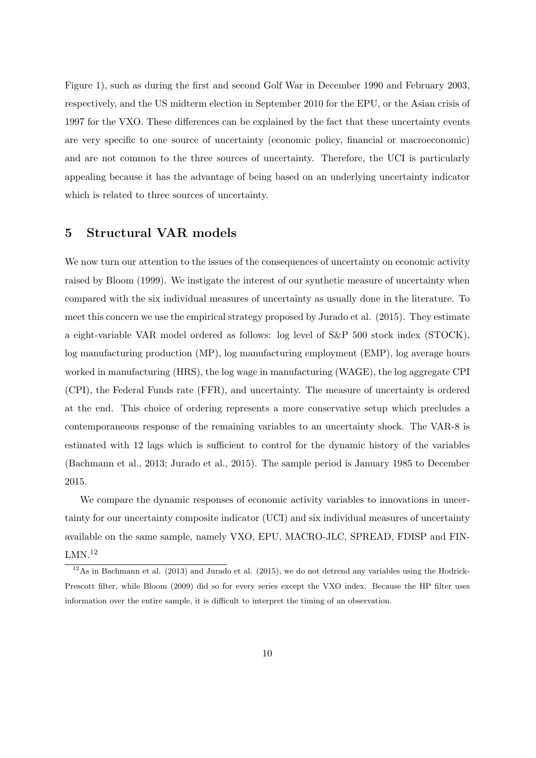Figure 1), such as during the first and second Golf War in December 1990 and February 2003, respectively, and the US midterm election in September 2010 for the EPU, or the Asian crisis of 1997 for the VXO. These differences can be explained by the fact that these uncertainty events are very specific to one source of uncertainty (economic policy, financial or macroeconomic) and are not common to the three sources of uncertainty. Therefore, the UCI is particularly appealing because it has the advantage of being based on an underlying uncertainty indicator which is related to three sources of uncertainty.

#### 5 Structural VAR models

We now turn our attention to the issues of the consequences of uncertainty on economic activity raised by Bloom (1999). We instigate the interest of our synthetic measure of uncertainty when compared with the six individual measures of uncertainty as usually done in the literature. To meet this concern we use the empirical strategy proposed by Jurado et al. (2015). They estimate a eight-variable VAR model ordered as follows: log level of S&P 500 stock index (STOCK), log manufacturing production (MP), log manufacturing employment (EMP), log average hours worked in manufacturing (HRS), the log wage in manufacturing (WAGE), the log aggregate CPI (CPI), the Federal Funds rate (FFR), and uncertainty. The measure of uncertainty is ordered at the end. This choice of ordering represents a more conservative setup which precludes a contemporaneous response of the remaining variables to an uncertainty shock. The VAR-8 is estimated with 12 lags which is sufficient to control for the dynamic history of the variables (Bachmann et al., 2013; Jurado et al., 2015). The sample period is January 1985 to December 2015.

We compare the dynamic responses of economic activity variables to innovations in uncertainty for our uncertainty composite indicator (UCI) and six individual measures of uncertainty available on the same sample, namely VXO, EPU, MACRO-JLC, SPREAD, FDISP and FIN- $LMN<sup>12</sup>$ 

 $12\text{As}$  in Bachmann et al. (2013) and Jurado et al. (2015), we do not detrend any variables using the Hodrick-Prescott filter, while Bloom (2009) did so for every series except the VXO index. Because the HP filter uses information over the entire sample, it is difficult to interpret the timing of an observation.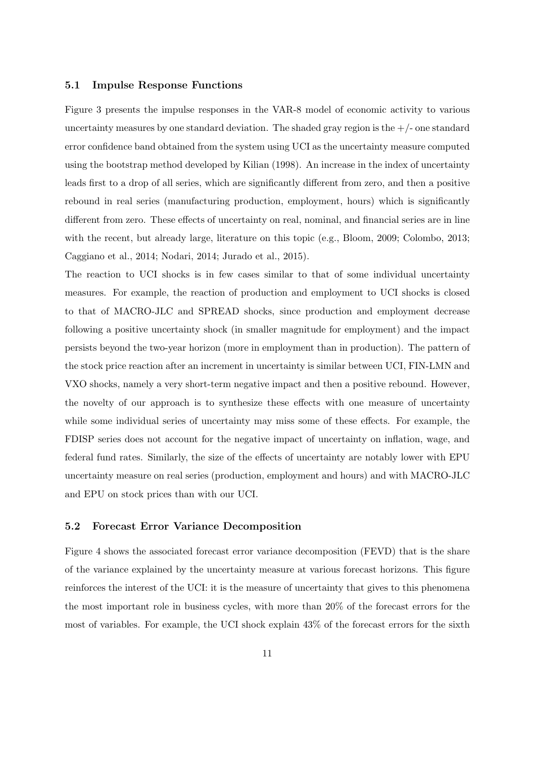#### 5.1 Impulse Response Functions

Figure 3 presents the impulse responses in the VAR-8 model of economic activity to various uncertainty measures by one standard deviation. The shaded gray region is the  $+/-$  one standard error confidence band obtained from the system using UCI as the uncertainty measure computed using the bootstrap method developed by Kilian (1998). An increase in the index of uncertainty leads first to a drop of all series, which are significantly different from zero, and then a positive rebound in real series (manufacturing production, employment, hours) which is significantly different from zero. These effects of uncertainty on real, nominal, and financial series are in line with the recent, but already large, literature on this topic (e.g., Bloom, 2009; Colombo, 2013; Caggiano et al., 2014; Nodari, 2014; Jurado et al., 2015).

The reaction to UCI shocks is in few cases similar to that of some individual uncertainty measures. For example, the reaction of production and employment to UCI shocks is closed to that of MACRO-JLC and SPREAD shocks, since production and employment decrease following a positive uncertainty shock (in smaller magnitude for employment) and the impact persists beyond the two-year horizon (more in employment than in production). The pattern of the stock price reaction after an increment in uncertainty is similar between UCI, FIN-LMN and VXO shocks, namely a very short-term negative impact and then a positive rebound. However, the novelty of our approach is to synthesize these effects with one measure of uncertainty while some individual series of uncertainty may miss some of these effects. For example, the FDISP series does not account for the negative impact of uncertainty on inflation, wage, and federal fund rates. Similarly, the size of the effects of uncertainty are notably lower with EPU uncertainty measure on real series (production, employment and hours) and with MACRO-JLC and EPU on stock prices than with our UCI.

#### 5.2 Forecast Error Variance Decomposition

Figure 4 shows the associated forecast error variance decomposition (FEVD) that is the share of the variance explained by the uncertainty measure at various forecast horizons. This figure reinforces the interest of the UCI: it is the measure of uncertainty that gives to this phenomena the most important role in business cycles, with more than 20% of the forecast errors for the most of variables. For example, the UCI shock explain 43% of the forecast errors for the sixth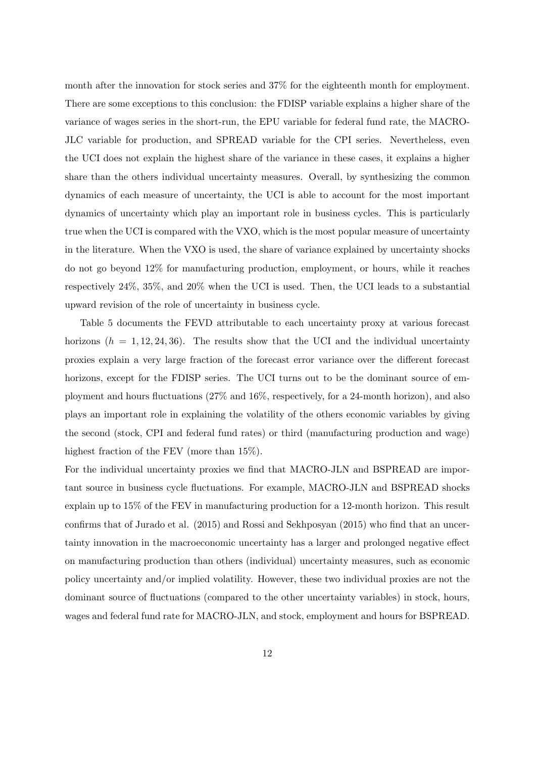month after the innovation for stock series and 37% for the eighteenth month for employment. There are some exceptions to this conclusion: the FDISP variable explains a higher share of the variance of wages series in the short-run, the EPU variable for federal fund rate, the MACRO-JLC variable for production, and SPREAD variable for the CPI series. Nevertheless, even the UCI does not explain the highest share of the variance in these cases, it explains a higher share than the others individual uncertainty measures. Overall, by synthesizing the common dynamics of each measure of uncertainty, the UCI is able to account for the most important dynamics of uncertainty which play an important role in business cycles. This is particularly true when the UCI is compared with the VXO, which is the most popular measure of uncertainty in the literature. When the VXO is used, the share of variance explained by uncertainty shocks do not go beyond 12% for manufacturing production, employment, or hours, while it reaches respectively 24%, 35%, and 20% when the UCI is used. Then, the UCI leads to a substantial upward revision of the role of uncertainty in business cycle.

Table 5 documents the FEVD attributable to each uncertainty proxy at various forecast horizons  $(h = 1, 12, 24, 36)$ . The results show that the UCI and the individual uncertainty proxies explain a very large fraction of the forecast error variance over the different forecast horizons, except for the FDISP series. The UCI turns out to be the dominant source of employment and hours fluctuations (27% and 16%, respectively, for a 24-month horizon), and also plays an important role in explaining the volatility of the others economic variables by giving the second (stock, CPI and federal fund rates) or third (manufacturing production and wage) highest fraction of the FEV (more than  $15\%$ ).

For the individual uncertainty proxies we find that MACRO-JLN and BSPREAD are important source in business cycle fluctuations. For example, MACRO-JLN and BSPREAD shocks explain up to 15% of the FEV in manufacturing production for a 12-month horizon. This result confirms that of Jurado et al. (2015) and Rossi and Sekhposyan (2015) who find that an uncertainty innovation in the macroeconomic uncertainty has a larger and prolonged negative effect on manufacturing production than others (individual) uncertainty measures, such as economic policy uncertainty and/or implied volatility. However, these two individual proxies are not the dominant source of fluctuations (compared to the other uncertainty variables) in stock, hours, wages and federal fund rate for MACRO-JLN, and stock, employment and hours for BSPREAD.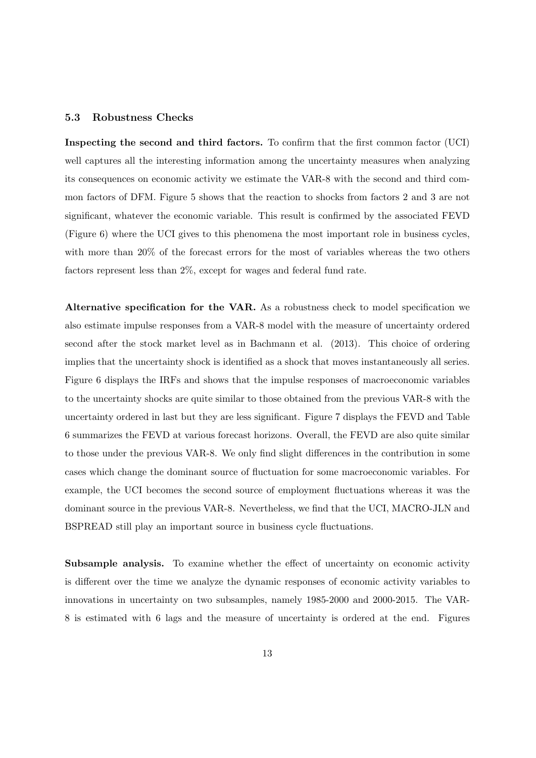#### 5.3 Robustness Checks

Inspecting the second and third factors. To confirm that the first common factor (UCI) well captures all the interesting information among the uncertainty measures when analyzing its consequences on economic activity we estimate the VAR-8 with the second and third common factors of DFM. Figure 5 shows that the reaction to shocks from factors 2 and 3 are not significant, whatever the economic variable. This result is confirmed by the associated FEVD (Figure 6) where the UCI gives to this phenomena the most important role in business cycles, with more than 20% of the forecast errors for the most of variables whereas the two others factors represent less than 2%, except for wages and federal fund rate.

Alternative specification for the VAR. As a robustness check to model specification we also estimate impulse responses from a VAR-8 model with the measure of uncertainty ordered second after the stock market level as in Bachmann et al. (2013). This choice of ordering implies that the uncertainty shock is identified as a shock that moves instantaneously all series. Figure 6 displays the IRFs and shows that the impulse responses of macroeconomic variables to the uncertainty shocks are quite similar to those obtained from the previous VAR-8 with the uncertainty ordered in last but they are less significant. Figure 7 displays the FEVD and Table 6 summarizes the FEVD at various forecast horizons. Overall, the FEVD are also quite similar to those under the previous VAR-8. We only find slight differences in the contribution in some cases which change the dominant source of fluctuation for some macroeconomic variables. For example, the UCI becomes the second source of employment fluctuations whereas it was the dominant source in the previous VAR-8. Nevertheless, we find that the UCI, MACRO-JLN and BSPREAD still play an important source in business cycle fluctuations.

Subsample analysis. To examine whether the effect of uncertainty on economic activity is different over the time we analyze the dynamic responses of economic activity variables to innovations in uncertainty on two subsamples, namely 1985-2000 and 2000-2015. The VAR-8 is estimated with 6 lags and the measure of uncertainty is ordered at the end. Figures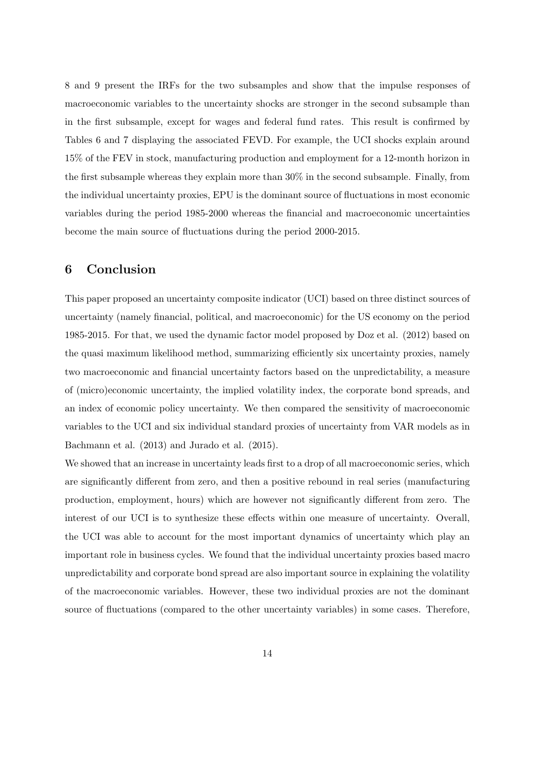8 and 9 present the IRFs for the two subsamples and show that the impulse responses of macroeconomic variables to the uncertainty shocks are stronger in the second subsample than in the first subsample, except for wages and federal fund rates. This result is confirmed by Tables 6 and 7 displaying the associated FEVD. For example, the UCI shocks explain around 15% of the FEV in stock, manufacturing production and employment for a 12-month horizon in the first subsample whereas they explain more than 30% in the second subsample. Finally, from the individual uncertainty proxies, EPU is the dominant source of fluctuations in most economic variables during the period 1985-2000 whereas the financial and macroeconomic uncertainties become the main source of fluctuations during the period 2000-2015.

#### 6 Conclusion

This paper proposed an uncertainty composite indicator (UCI) based on three distinct sources of uncertainty (namely financial, political, and macroeconomic) for the US economy on the period 1985-2015. For that, we used the dynamic factor model proposed by Doz et al. (2012) based on the quasi maximum likelihood method, summarizing efficiently six uncertainty proxies, namely two macroeconomic and financial uncertainty factors based on the unpredictability, a measure of (micro)economic uncertainty, the implied volatility index, the corporate bond spreads, and an index of economic policy uncertainty. We then compared the sensitivity of macroeconomic variables to the UCI and six individual standard proxies of uncertainty from VAR models as in Bachmann et al. (2013) and Jurado et al. (2015).

We showed that an increase in uncertainty leads first to a drop of all macroeconomic series, which are significantly different from zero, and then a positive rebound in real series (manufacturing production, employment, hours) which are however not significantly different from zero. The interest of our UCI is to synthesize these effects within one measure of uncertainty. Overall, the UCI was able to account for the most important dynamics of uncertainty which play an important role in business cycles. We found that the individual uncertainty proxies based macro unpredictability and corporate bond spread are also important source in explaining the volatility of the macroeconomic variables. However, these two individual proxies are not the dominant source of fluctuations (compared to the other uncertainty variables) in some cases. Therefore,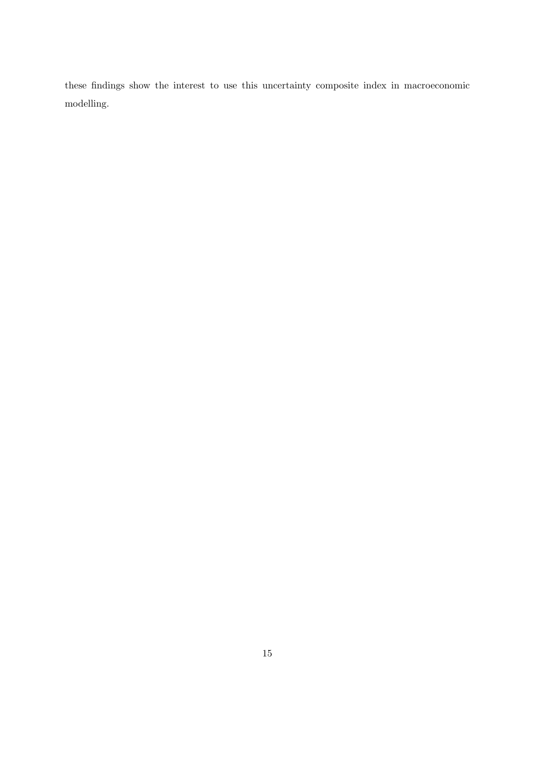these findings show the interest to use this uncertainty composite index in macroeconomic modelling.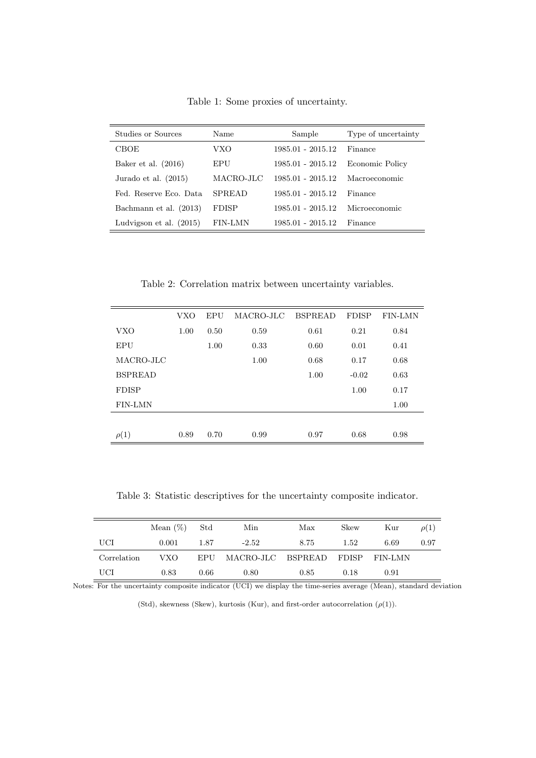Table 1: Some proxies of uncertainty.

| Studies or Sources        | Name          | Sample              | Type of uncertainty |
|---------------------------|---------------|---------------------|---------------------|
| CBOE                      | VXO           | 1985.01 - 2015.12   | Finance             |
| Baker et al. $(2016)$     | EPU           | 1985.01 - 2015.12   | Economic Policy     |
| Jurado et al. $(2015)$    | MACRO-JLC     | 1985.01 - 2015.12   | Macroeconomic       |
| Fed. Reserve Eco. Data    | <b>SPREAD</b> | $1985.01 - 2015.12$ | Finance             |
| Bachmann et al. (2013)    | <b>FDISP</b>  | 1985.01 - 2015.12   | Microeconomic       |
| Ludvigson et al. $(2015)$ | FIN-LMN       | 1985.01 - 2015.12   | Finance             |

Table 2: Correlation matrix between uncertainty variables.

|                | <b>VXO</b> | EPU  | MACRO-JLC | <b>BSPREAD</b> | <b>FDISP</b> | <b>FIN-LMN</b> |
|----------------|------------|------|-----------|----------------|--------------|----------------|
| <b>VXO</b>     | 1.00       | 0.50 | 0.59      | 0.61           | 0.21         | 0.84           |
| <b>EPU</b>     |            | 1.00 | 0.33      | 0.60           | 0.01         | 0.41           |
| MACRO-JLC      |            |      | 1.00      | 0.68           | 0.17         | 0.68           |
| <b>BSPREAD</b> |            |      |           | 1.00           | $-0.02$      | 0.63           |
| <b>FDISP</b>   |            |      |           |                | 1.00         | 0.17           |
| FIN-LMN        |            |      |           |                |              | 1.00           |
|                |            |      |           |                |              |                |
| $\rho(1)$      | 0.89       | 0.70 | 0.99      | 0.97           | 0.68         | 0.98           |

Table 3: Statistic descriptives for the uncertainty composite indicator.

|             | Mean $(\%)$ Std |      | Min                                 | Max  | <b>Skew</b> | Kur  | $\rho(1)$ |
|-------------|-----------------|------|-------------------------------------|------|-------------|------|-----------|
| UCI         | 0.001           | 1.87 | $-2.52$                             | 8.75 | 1.52        | 6.69 | 0.97      |
| Correlation | VXO-            |      | EPU MACRO-JLC BSPREAD FDISP FIN-LMN |      |             |      |           |
| UCI         | 0.83            | 0.66 | 0.80                                | 0.85 | 0.18        | 0.91 |           |

Notes: For the uncertainty composite indicator (UCI) we display the time-series average (Mean), standard deviation

(Std), skewness (Skew), kurtosis (Kur), and first-order autocorrelation  $(\rho(1)).$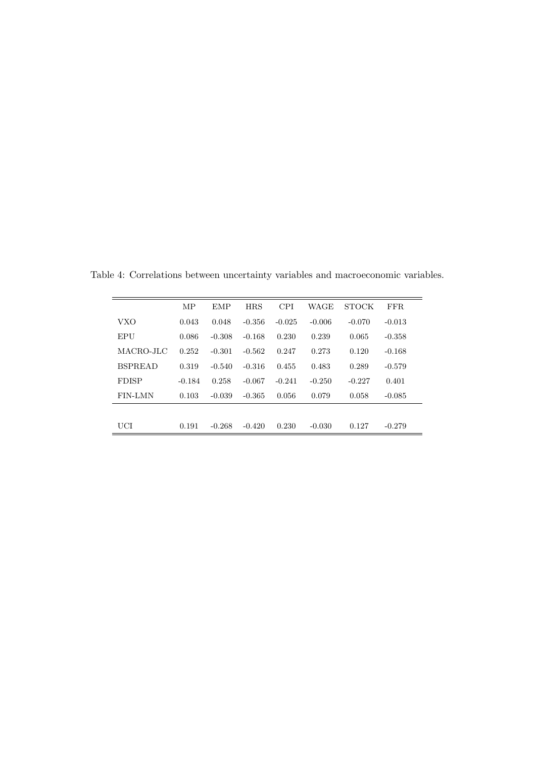|                | MP       | <b>EMP</b> | <b>HRS</b> | <b>CPI</b> | WAGE     | <b>STOCK</b> | FFR.     |
|----------------|----------|------------|------------|------------|----------|--------------|----------|
| VXO            | 0.043    | 0.048      | $-0.356$   | $-0.025$   | $-0.006$ | $-0.070$     | $-0.013$ |
| EPU            | 0.086    | $-0.308$   | $-0.168$   | 0.230      | 0.239    | 0.065        | $-0.358$ |
| MACRO-JLC      | 0.252    | $-0.301$   | $-0.562$   | 0.247      | 0.273    | 0.120        | $-0.168$ |
| <b>BSPREAD</b> | 0.319    | $-0.540$   | $-0.316$   | 0.455      | 0.483    | 0.289        | $-0.579$ |
| <b>FDISP</b>   | $-0.184$ | 0.258      | $-0.067$   | $-0.241$   | $-0.250$ | $-0.227$     | 0.401    |
| <b>FIN-LMN</b> | 0.103    | $-0.039$   | $-0.365$   | 0.056      | 0.079    | 0.058        | $-0.085$ |
|                |          |            |            |            |          |              |          |
| UCI            | 0.191    | $-0.268$   | $-0.420$   | 0.230      | $-0.030$ | 0.127        | $-0.279$ |
|                |          |            |            |            |          |              |          |

Table 4: Correlations between uncertainty variables and macroeconomic variables.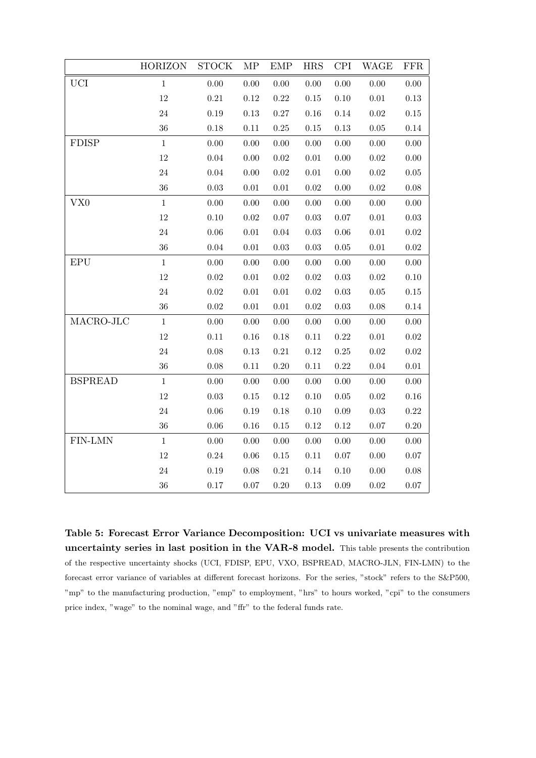|                 | <b>HORIZON</b> | <b>STOCK</b> | MP       | <b>EMP</b> | <b>HRS</b> | <b>CPI</b> | <b>WAGE</b> | <b>FFR</b> |
|-----------------|----------------|--------------|----------|------------|------------|------------|-------------|------------|
| <b>UCI</b>      | $1\,$          | 0.00         | $0.00\,$ | $0.00\,$   | $0.00\,$   | 0.00       | $0.00\,$    | 0.00       |
|                 | 12             | $0.21\,$     | $0.12\,$ | $0.22\,$   | $0.15\,$   | $0.10\,$   | $0.01\,$    | 0.13       |
|                 | $24\,$         | $0.19\,$     | $0.13\,$ | $0.27\,$   | $0.16\,$   | 0.14       | $0.02\,$    | $0.15\,$   |
|                 | 36             | $0.18\,$     | 0.11     | $0.25\,$   | $0.15\,$   | $0.13\,$   | $0.05\,$    | 0.14       |
| <b>FDISP</b>    | $\mathbf{1}$   | $0.00\,$     | $0.00\,$ | 0.00       | $0.00\,$   | 0.00       | $0.00\,$    | 0.00       |
|                 | 12             | $0.04\,$     | $0.00\,$ | $0.02\,$   | $0.01\,$   | $0.00\,$   | $0.02\,$    | 0.00       |
|                 | $24\,$         | 0.04         | $0.00\,$ | $\rm 0.02$ | $0.01\,$   | 0.00       | $0.02\,$    | $0.05\,$   |
|                 | 36             | $0.03\,$     | $0.01\,$ | $0.01\,$   | $0.02\,$   | $0.00\,$   | $0.02\,$    | $0.08\,$   |
| VX <sub>0</sub> | $\,1$          | $0.00\,$     | $0.00\,$ | $0.00\,$   | $0.00\,$   | $0.00\,$   | $0.00\,$    | 0.00       |
|                 | 12             | 0.10         | 0.02     | 0.07       | $0.03\,$   | $0.07\,$   | $0.01\,$    | 0.03       |
|                 | $24\,$         | $0.06\,$     | $0.01\,$ | 0.04       | $0.03\,$   | $0.06\,$   | $0.01\,$    | $0.02\,$   |
|                 | 36             | $0.04\,$     | $0.01\,$ | 0.03       | $0.03\,$   | $0.05\,$   | $0.01\,$    | $0.02\,$   |
| EPU             | $\mathbf{1}$   | $0.00\,$     | 0.00     | 0.00       | $0.00\,$   | $0.00\,$   | $0.00\,$    | 0.00       |
|                 | 12             | $0.02\,$     | $0.01\,$ | $0.02\,$   | $0.02\,$   | $0.03\,$   | $0.02\,$    | $0.10\,$   |
|                 | $24\,$         | $0.02\,$     | $0.01\,$ | 0.01       | $\rm 0.02$ | $0.03\,$   | 0.05        | 0.15       |
|                 | $36\,$         | $0.02\,$     | $0.01\,$ | $0.01\,$   | $0.02\,$   | $0.03\,$   | $0.08\,$    | 0.14       |
| MACRO-JLC       | $\,1\,$        | $0.00\,$     | 0.00     | 0.00       | $0.00\,$   | $0.00\,$   | $0.00\,$    | 0.00       |
|                 | 12             | $0.11\,$     | $0.16\,$ | $0.18\,$   | $0.11\,$   | 0.22       | $0.01\,$    | $0.02\,$   |
|                 | $24\,$         | $0.08\,$     | $0.13\,$ | $0.21\,$   | $0.12\,$   | $0.25\,$   | $0.02\,$    | $0.02\,$   |
|                 | 36             | $0.08\,$     | 0.11     | $0.20\,$   | $0.11\,$   | $0.22\,$   | $0.04\,$    | $0.01\,$   |
| <b>BSPREAD</b>  | $\,1\,$        | $0.00\,$     | $0.00\,$ | $0.00\,$   | $0.00\,$   | $0.00\,$   | $0.00\,$    | 0.00       |
|                 | 12             | $0.03\,$     | 0.15     | $0.12\,$   | $0.10\,$   | $0.05\,$   | $0.02\,$    | $0.16\,$   |
|                 | $24\,$         | $0.06\,$     | $0.19\,$ | 0.18       | $0.10\,$   | $0.09\,$   | $0.03\,$    | 0.22       |
|                 | 36             | $0.06\,$     | $0.16\,$ | $0.15\,$   | $0.12\,$   | $0.12\,$   | $0.07\,$    | 0.20       |
| FIN-LMN         | $\mathbf{1}$   | $0.00\,$     | $0.00\,$ | 0.00       | $0.00\,$   | 0.00       | $0.00\,$    | 0.00       |
|                 | 12             | $0.24\,$     | $0.06\,$ | $0.15\,$   | $0.11\,$   | $0.07\,$   | $0.00\,$    | $0.07\,$   |
|                 | $24\,$         | $0.19\,$     | $0.08\,$ | $0.21\,$   | $0.14\,$   | $0.10\,$   | $0.00\,$    | $0.08\,$   |
|                 | 36             | 0.17         | $0.07\,$ | 0.20       | $0.13\,$   | $0.09\,$   | $0.02\,$    | $0.07\,$   |

Table 5: Forecast Error Variance Decomposition: UCI vs univariate measures with uncertainty series in last position in the VAR-8 model. This table presents the contribution of the respective uncertainty shocks (UCI, FDISP, EPU, VXO, BSPREAD, MACRO-JLN, FIN-LMN) to the forecast error variance of variables at different forecast horizons. For the series, "stock" refers to the S&P500, "mp" to the manufacturing production, "emp" to employment, "hrs" to hours worked, "cpi" to the consumers price index, "wage" to the nominal wage, and "ffr" to the federal funds rate.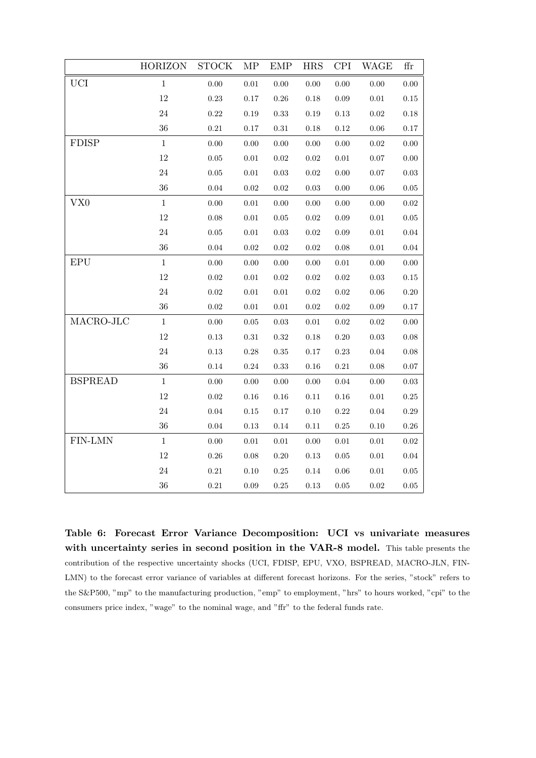|                 | <b>HORIZON</b> | <b>STOCK</b> | $\ensuremath{\mathrm{MP}}$ | ${\rm EMP}$ | <b>HRS</b> | <b>CPI</b> | WAGE       | ffr        |
|-----------------|----------------|--------------|----------------------------|-------------|------------|------------|------------|------------|
| <b>UCI</b>      | $\mathbf{1}$   | 0.00         | $0.01\,$                   | 0.00        | $0.00\,$   | 0.00       | $0.00\,$   | 0.00       |
|                 | $12\,$         | 0.23         | $0.17\,$                   | $0.26\,$    | 0.18       | 0.09       | $0.01\,$   | $0.15\,$   |
|                 | 24             | 0.22         | 0.19                       | $\rm 0.33$  | $0.19\,$   | 0.13       | $\rm 0.02$ | $0.18\,$   |
|                 | 36             | $0.21\,$     | 0.17                       | $\rm 0.31$  | 0.18       | 0.12       | $0.06\,$   | $0.17\,$   |
| <b>FDISP</b>    | $\mathbf{1}$   | 0.00         | $0.00\,$                   | $0.00\,$    | $0.00\,$   | 0.00       | $\rm 0.02$ | 0.00       |
|                 | $12\,$         | $0.05\,$     | 0.01                       | $\rm 0.02$  | $\rm 0.02$ | $0.01\,$   | $0.07\,$   | $0.00\,$   |
|                 | $24\,$         | $0.05\,$     | $0.01\,$                   | $0.03\,$    | $\rm 0.02$ | $0.00\,$   | $0.07\,$   | $0.03\,$   |
|                 | 36             | 0.04         | 0.02                       | 0.02        | 0.03       | 0.00       | 0.06       | 0.05       |
| VX <sub>0</sub> | $\mathbf{1}$   | 0.00         | $0.01\,$                   | $0.00\,$    | $0.00\,$   | 0.00       | $0.00\,$   | $\rm 0.02$ |
|                 | $12\,$         | 0.08         | $0.01\,$                   | $0.05\,$    | $\rm 0.02$ | 0.09       | $0.01\,$   | $0.05\,$   |
|                 | $24\,$         | $0.05\,$     | 0.01                       | $0.03\,$    | $\rm 0.02$ | 0.09       | $0.01\,$   | $0.04\,$   |
|                 | 36             | $0.04\,$     | $0.02\,$                   | $0.02\,$    | $\rm 0.02$ | 0.08       | $0.01\,$   | $0.04\,$   |
| <b>EPU</b>      | 1              | 0.00         | 0.00                       | $0.00\,$    | $0.00\,$   | $\rm 0.01$ | 0.00       | 0.00       |
|                 | $12\,$         | $\rm 0.02$   | 0.01                       | $\rm 0.02$  | $\rm 0.02$ | 0.02       | $\rm 0.03$ | $0.15\,$   |
|                 | $24\,$         | $0.02\,$     | $0.01\,$                   | $0.01\,$    | $\rm 0.02$ | 0.02       | $0.06\,$   | $0.20\,$   |
|                 | 36             | 0.02         | $0.01\,$                   | $0.01\,$    | $\rm 0.02$ | 0.02       | 0.09       | 0.17       |
| MACRO-JLC       | $\mathbf{1}$   | $0.00\,$     | 0.05                       | $\rm 0.03$  | 0.01       | 0.02       | 0.02       | 0.00       |
|                 | $12\,$         | $0.13\,$     | $0.31\,$                   | $\rm 0.32$  | $0.18\,$   | 0.20       | $0.03\,$   | $0.08\,$   |
|                 | $24\,$         | 0.13         | 0.28                       | 0.35        | 0.17       | 0.23       | 0.04       | 0.08       |
|                 | 36             | 0.14         | 0.24                       | 0.33        | $0.16\,$   | 0.21       | $0.08\,$   | $0.07\,$   |
| <b>BSPREAD</b>  | $\mathbf{1}$   | 0.00         | 0.00                       | $0.00\,$    | $0.00\,$   | 0.04       | 0.00       | $\rm 0.03$ |
|                 | 12             | $\rm 0.02$   | $0.16\,$                   | $0.16\,$    | 0.11       | $0.16\,$   | $0.01\,$   | $0.25\,$   |
|                 | $24\,$         | 0.04         | $0.15\,$                   | $0.17\,$    | $0.10\,$   | 0.22       | $0.04\,$   | $0.29\,$   |
|                 | 36             | 0.04         | 0.13                       | $0.14\,$    | 0.11       | $0.25\,$   | $0.10\,$   | 0.26       |
| FIN-LMN         | $\mathbf{1}$   | $0.00\,$     | 0.01                       | $0.01\,$    | $0.00\,$   | $\rm 0.01$ | $0.01\,$   | $\rm 0.02$ |
|                 | $12\,$         | $0.26\,$     | $0.08\,$                   | $0.20\,$    | $0.13\,$   | $0.05\,$   | $0.01\,$   | $0.04\,$   |
|                 | $24\,$         | $\rm 0.21$   | 0.10                       | $0.25\,$    | $0.14\,$   | 0.06       | $0.01\,$   | $0.05\,$   |
|                 | 36             | $\rm 0.21$   | 0.09                       | $0.25\,$    | $\rm 0.13$ | 0.05       | 0.02       | $0.05\,$   |

Table 6: Forecast Error Variance Decomposition: UCI vs univariate measures with uncertainty series in second position in the VAR-8 model. This table presents the contribution of the respective uncertainty shocks (UCI, FDISP, EPU, VXO, BSPREAD, MACRO-JLN, FIN-LMN) to the forecast error variance of variables at different forecast horizons. For the series, "stock" refers to the S&P500, "mp" to the manufacturing production, "emp" to employment, "hrs" to hours worked, "cpi" to the consumers price index, "wage" to the nominal wage, and "ffr" to the federal funds rate.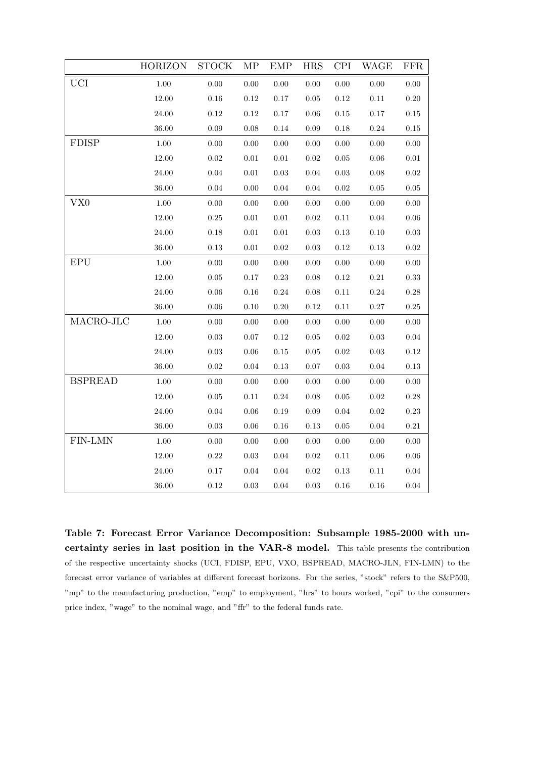|                | <b>HORIZON</b> | <b>STOCK</b> | MP         | <b>EMP</b> | <b>HRS</b> | <b>CPI</b> | WAGE       | ${\rm FFR}$ |
|----------------|----------------|--------------|------------|------------|------------|------------|------------|-------------|
| <b>UCI</b>     | 1.00           | $0.00\,$     | $0.00\,$   | 0.00       | $0.00\,$   | $0.00\,$   | 0.00       | 0.00        |
|                | 12.00          | 0.16         | $0.12\,$   | $0.17\,$   | 0.05       | 0.12       | 0.11       | 0.20        |
|                | 24.00          | $0.12\,$     | $0.12\,$   | $0.17\,$   | $0.06\,$   | $0.15\,$   | $0.17\,$   | $0.15\,$    |
|                | 36.00          | $0.09\,$     | $0.08\,$   | 0.14       | $0.09\,$   | 0.18       | $0.24\,$   | $0.15\,$    |
| <b>FDISP</b>   | 1.00           | $0.00\,$     | $0.00\,$   | 0.00       | $0.00\,$   | 0.00       | 0.00       | 0.00        |
|                | $12.00\,$      | $0.02\,$     | $0.01\,$   | $0.01\,$   | $0.02\,$   | $0.05\,$   | $0.06\,$   | $0.01\,$    |
|                | 24.00          | 0.04         | $0.01\,$   | $\rm 0.03$ | $\rm 0.04$ | $\rm 0.03$ | 0.08       | 0.02        |
|                | 36.00          | $0.04\,$     | $0.00\,$   | $0.04\,$   | $0.04\,$   | $\rm 0.02$ | $0.05\,$   | $0.05\,$    |
| VX0            | 1.00           | 0.00         | 0.00       | 0.00       | 0.00       | 0.00       | 0.00       | 0.00        |
|                | $12.00\,$      | $0.25\,$     | $0.01\,$   | $0.01\,$   | $\rm 0.02$ | $0.11\,$   | $0.04\,$   | 0.06        |
|                | $24.00\,$      | $0.18\,$     | $0.01\,$   | $0.01\,$   | $\rm 0.03$ | $0.13\,$   | 0.10       | $\rm 0.03$  |
|                | 36.00          | $0.13\,$     | $\rm 0.01$ | $\rm 0.02$ | $\rm 0.03$ | $0.12\,$   | $0.13\,$   | 0.02        |
| EPU            | $1.00\,$       | $0.00\,$     | $0.00\,$   | $0.00\,$   | $0.00\,$   | $0.00\,$   | $0.00\,$   | $0.00\,$    |
|                | 12.00          | $0.05\,$     | $0.17\,$   | $0.23\,$   | 0.08       | $0.12\,$   | $0.21\,$   | 0.33        |
|                | $24.00\,$      | $0.06\,$     | $0.16\,$   | $0.24\,$   | $0.08\,$   | $0.11\,$   | $0.24\,$   | $0.28\,$    |
|                | 36.00          | $0.06\,$     | 0.10       | $0.20\,$   | $0.12\,$   | $0.11\,$   | $0.27\,$   | 0.25        |
| MACRO-JLC      | 1.00           | $0.00\,$     | $0.00\,$   | $0.00\,$   | $0.00\,$   | $0.00\,$   | $0.00\,$   | $0.00\,$    |
|                | $12.00\,$      | $\rm 0.03$   | $0.07\,$   | 0.12       | $\rm 0.05$ | $\rm 0.02$ | $0.03\,$   | 0.04        |
|                | 24.00          | $\rm 0.03$   | $0.06\,$   | $0.15\,$   | $\rm 0.05$ | $\rm 0.02$ | 0.03       | 0.12        |
|                | $36.00\,$      | $0.02\,$     | $0.04\,$   | $0.13\,$   | $0.07\,$   | $0.03\,$   | $0.04\,$   | 0.13        |
| <b>BSPREAD</b> | $1.00\,$       | 0.00         | $0.00\,$   | $0.00\,$   | 0.00       | 0.00       | 0.00       | $0.00\,$    |
|                | 12.00          | $0.05\,$     | $0.11\,$   | $0.24\,$   | $0.08\,$   | $0.05\,$   | $\rm 0.02$ | $0.28\,$    |
|                | 24.00          | $\rm 0.04$   | $0.06\,$   | 0.19       | 0.09       | $0.04\,$   | $0.02\,$   | 0.23        |
|                | 36.00          | $0.03\,$     | $0.06\,$   | $0.16\,$   | $0.13\,$   | $0.05\,$   | $0.04\,$   | $\rm 0.21$  |
| FIN-LMN        | $1.00\,$       | $0.00\,$     | $0.00\,$   | 0.00       | $0.00\,$   | $0.00\,$   | 0.00       | 0.00        |
|                | 12.00          | $0.22\,$     | $\rm 0.03$ | 0.04       | $\rm 0.02$ | $0.11\,$   | $0.06\,$   | 0.06        |
|                | 24.00          | $0.17\,$     | $0.04\,$   | $0.04\,$   | $0.02\,$   | $0.13\,$   | 0.11       | 0.04        |
|                | 36.00          | 0.12         | 0.03       | 0.04       | 0.03       | 0.16       | 0.16       | 0.04        |

Table 7: Forecast Error Variance Decomposition: Subsample 1985-2000 with uncertainty series in last position in the VAR-8 model. This table presents the contribution of the respective uncertainty shocks (UCI, FDISP, EPU, VXO, BSPREAD, MACRO-JLN, FIN-LMN) to the forecast error variance of variables at different forecast horizons. For the series, "stock" refers to the S&P500, "mp" to the manufacturing production, "emp" to employment, "hrs" to hours worked, "cpi" to the consumers price index, "wage" to the nominal wage, and "ffr" to the federal funds rate.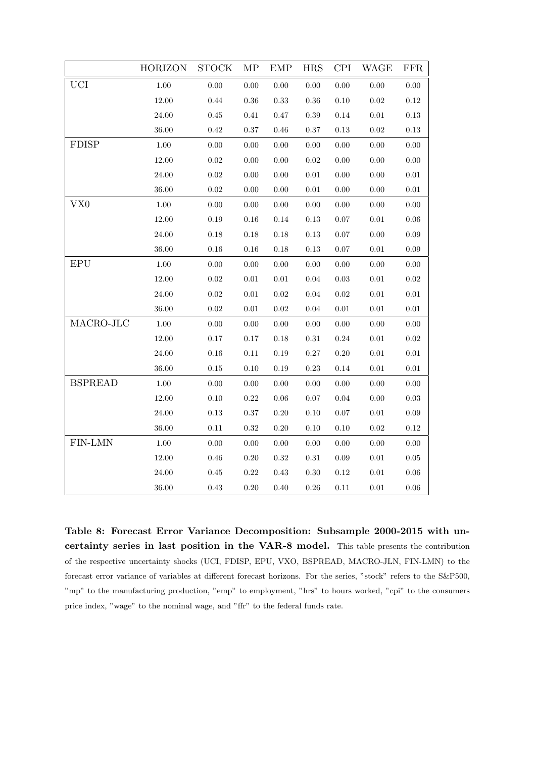|                | <b>HORIZON</b> | <b>STOCK</b> | MP         | EMP        | <b>HRS</b> | <b>CPI</b> | WAGE       | FFR        |
|----------------|----------------|--------------|------------|------------|------------|------------|------------|------------|
| <b>UCI</b>     | $1.00\,$       | 0.00         | 0.00       | 0.00       | $0.00\,$   | 0.00       | 0.00       | 0.00       |
|                | $12.00\,$      | 0.44         | $0.36\,$   | $\rm 0.33$ | $\rm 0.36$ | $0.10\,$   | $\rm 0.02$ | 0.12       |
|                | 24.00          | $0.45\,$     | $0.41\,$   | 0.47       | $\rm 0.39$ | 0.14       | $\rm 0.01$ | 0.13       |
|                | 36.00          | $0.42\,$     | $0.37\,$   | $0.46\,$   | $0.37\,$   | $0.13\,$   | $0.02\,$   | 0.13       |
| ${\rm FDISP}$  | 1.00           | 0.00         | 0.00       | 0.00       | 0.00       | 0.00       | 0.00       | 0.00       |
|                | $12.00\,$      | $0.02\,$     | $0.00\,$   | $0.00\,$   | $0.02\,$   | $0.00\,$   | $0.00\,$   | 0.00       |
|                | 24.00          | 0.02         | 0.00       | 0.00       | 0.01       | 0.00       | 0.00       | $0.01\,$   |
|                | 36.00          | $0.02\,$     | $0.00\,$   | $0.00\,$   | $0.01\,$   | $0.00\,$   | $0.00\,$   | $0.01\,$   |
| VX0            | $1.00\,$       | $0.00\,$     | $0.00\,$   | $0.00\,$   | $0.00\,$   | $0.00\,$   | 0.00       | 0.00       |
|                | 12.00          | 0.19         | $0.16\,$   | 0.14       | 0.13       | 0.07       | 0.01       | 0.06       |
|                | $24.00\,$      | $0.18\,$     | $0.18\,$   | $0.18\,$   | $0.13\,$   | $0.07\,$   | $0.00\,$   | 0.09       |
|                | 36.00          | 0.16         | $0.16\,$   | 0.18       | $0.13\,$   | $0.07\,$   | 0.01       | 0.09       |
| <b>EPU</b>     | $1.00\,$       | $0.00\,$     | $0.00\,$   | $0.00\,$   | $0.00\,$   | $0.00\,$   | $0.00\,$   | $0.00\,$   |
|                | 12.00          | $\rm 0.02$   | $0.01\,$   | $0.01\,$   | $\rm 0.04$ | $\rm 0.03$ | $0.01\,$   | 0.02       |
|                | $24.00\,$      | $0.02\,$     | $0.01\,$   | $0.02\,$   | $0.04\,$   | $0.02\,$   | $0.01\,$   | $0.01\,$   |
|                | 36.00          | $0.02\,$     | $0.01\,$   | $0.02\,$   | $0.04\,$   | $0.01\,$   | $0.01\,$   | $0.01\,$   |
| MACRO-JLC      | $1.00\,$       | 0.00         | 0.00       | 0.00       | 0.00       | 0.00       | 0.00       | 0.00       |
|                | $12.00\,$      | $0.17\,$     | $0.17\,$   | $0.18\,$   | $\rm 0.31$ | $0.24\,$   | $0.01\,$   | 0.02       |
|                | 24.00          | $0.16\,$     | $0.11\,$   | 0.19       | $0.27\,$   | $0.20\,$   | $\rm 0.01$ | $0.01\,$   |
|                | 36.00          | $0.15\,$     | $0.10\,$   | $0.19\,$   | $0.23\,$   | $0.14\,$   | $0.01\,$   | $0.01\,$   |
| <b>BSPREAD</b> | $1.00\,$       | $0.00\,$     | $0.00\,$   | $0.00\,$   | $0.00\,$   | $0.00\,$   | 0.00       | 0.00       |
|                | $12.00\,$      | $0.10\,$     | $0.22\,$   | $0.06\,$   | $0.07\,$   | $0.04\,$   | $0.00\,$   | $\rm 0.03$ |
|                | $24.00\,$      | $0.13\,$     | $0.37\,$   | $0.20\,$   | $0.10\,$   | $0.07\,$   | $0.01\,$   | $0.09\,$   |
|                | 36.00          | 0.11         | $\rm 0.32$ | $0.20\,$   | $0.10\,$   | $0.10\,$   | 0.02       | 0.12       |
| FIN-LMN        | $1.00\,$       | $0.00\,$     | $0.00\,$   | $0.00\,$   | $0.00\,$   | $0.00\,$   | $0.00\,$   | 0.00       |
|                | $12.00\,$      | $0.46\,$     | $0.20\,$   | $\rm 0.32$ | $0.31\,$   | $0.09\,$   | $0.01\,$   | $0.05\,$   |
|                | $24.00\,$      | $0.45\,$     | $\rm 0.22$ | $0.43\,$   | $0.30\,$   | $0.12\,$   | $0.01\,$   | $0.06\,$   |
|                | 36.00          | $0.43\,$     | $0.20\,$   | $0.40\,$   | $0.26\,$   | $0.11\,$   | $0.01\,$   | 0.06       |

Table 8: Forecast Error Variance Decomposition: Subsample 2000-2015 with uncertainty series in last position in the VAR-8 model. This table presents the contribution of the respective uncertainty shocks (UCI, FDISP, EPU, VXO, BSPREAD, MACRO-JLN, FIN-LMN) to the forecast error variance of variables at different forecast horizons. For the series, "stock" refers to the S&P500, "mp" to the manufacturing production, "emp" to employment, "hrs" to hours worked, "cpi" to the consumers price index, "wage" to the nominal wage, and "ffr" to the federal funds rate.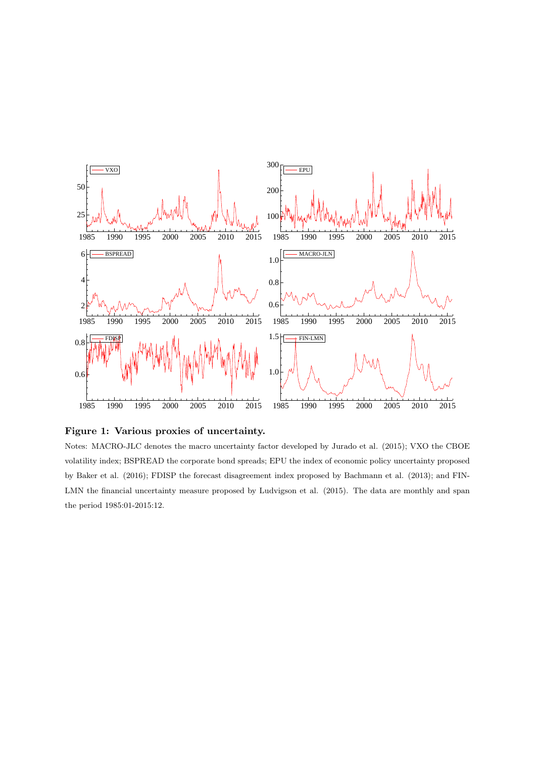

Figure 1: Various proxies of uncertainty.

Notes: MACRO-JLC denotes the macro uncertainty factor developed by Jurado et al. (2015); VXO the CBOE volatility index; BSPREAD the corporate bond spreads; EPU the index of economic policy uncertainty proposed by Baker et al. (2016); FDISP the forecast disagreement index proposed by Bachmann et al. (2013); and FIN-LMN the financial uncertainty measure proposed by Ludvigson et al. (2015). The data are monthly and span the period 1985:01-2015:12.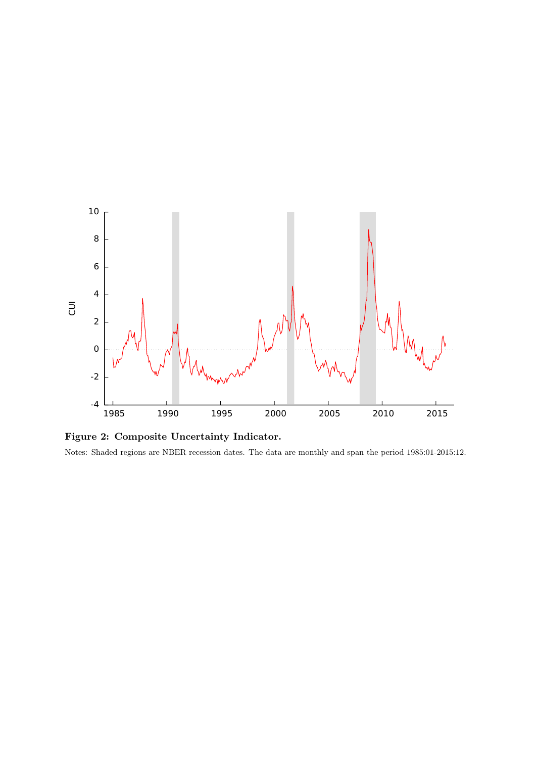

Figure 2: Composite Uncertainty Indicator.

Notes: Shaded regions are NBER recession dates. The data are monthly and span the period 1985:01-2015:12.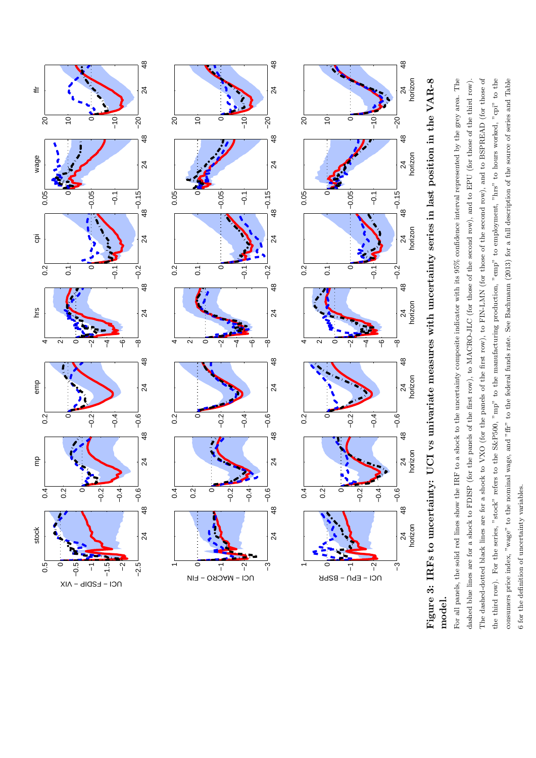

![](_page_23_Figure_1.jpeg)

For all panels, the solid red lines show the IRF to a shock to the uncertainty composite indicator with its 95% confidence interval represented by the grey area. The The dashed-dotted black lines are for a shock to VXO (for the panels of the first row), to FIN-LMN (for those of the second row), and to BSPREAD (for those of the third row). For the series, "stock" refers to the S&P500, "mp" to the manufacturing production, "emp" to employment, "hrs" to hours worked, "cpi" to the consumers price index, "wage" to the nominal wage, and "fir" to the federal funds rate. See Bachmann (2013) for a full description of the source of series and Table For all panels, the solid red lines show the IRF to a shock to the uncertainty composite indicator with its 95% confidence interval represented by the grey area. The dashed blue lines are for a shock to FDISP (for the panels of the first row), to MACRO-JLC (for those of the second row), and to EPU (for those of the third row). The dashed-dotted black lines are for a shock to VXO (for the panels of the first row), to FIN-LMN (for those of the second row), and to BSPREAD (for those of the third row). For the series, "stock" refers to the S&P500, "mp" to the manufacturing production, "emp" to employment, "hrs" to hours worked, "cpi" to the consumers price index, "wage" to the nominal wage, and "ffr" to the federal funds rate. See Bachmann (2013) for a full description of the source of series and Table dashed blue lines are for a shock to FDISP (for the panels of the first row), to MACRO-JLC (for those of the second row), and to EPU (for those of the third row). 6 for the definition of uncertainty variables. 6 for the definition of uncertainty variables.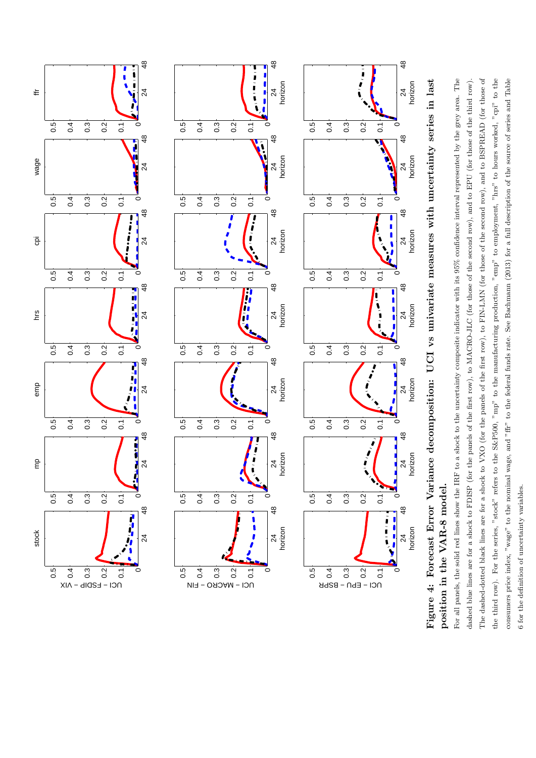![](_page_24_Figure_0.jpeg)

Figure 4: Forecast Error Variance decomposition: UCI vs univariate measures with uncertainty series in last Figure 4: Forecast Error Variance decomposition: UCI vs univariate measures with uncertainty series in last position in the VAR-8 model. position in the VAR-8 model.

For all panels, the solid red lines show the IRF to a shock to the uncertainty composite indicator with its  $95\%$  confidence interval represented by the grey area. The The dashed-dotted black lines are for a shock to VXO (for the panels of the first row), to FIN-LMN (for those of the second row), and to BSPREAD (for those of the third row). For the series, "stock" refers to the S&P500, "mp" to the manufacturing production, "emp" to employment, "hrs" to hours worked, "cpi" to the consumers price index, "wage" to the nominal wage, and "fir" to the federal funds rate. See Bachmann (2013) for a full description of the source of series and Table For all panels, the solid red lines show the IRF to a shock to the uncertainty composite indicator with its 95% confidence interval represented by the grey area. The dashed blue lines are for a shock to FDISP (for the panels of the first row), to MACRO-JLC (for those of the second row), and to EPU (for those of the third row). The dashed-dotted black lines are for a shock to VXO (for the panels of the first row), to FIN-LMN (for those of the second row), and to BSPREAD (for those of the third row). For the series, "stock" refers to the S&P500, "mp" to the manufacturing production, "emp" to employment, "hrs" to hours worked, "cpi" to the consumers price index, "wage" to the nominal wage, and "ffr" to the federal funds rate. See Bachmann (2013) for a full description of the source of series and Table dashed blue lines are for a shock to FDISP (for the panels of the first row), to MACRO-JLC (for those of the second row), and to EPU (for those of the third row).

6 for the definition of uncertainty variables. 6 for the definition of uncertainty variables.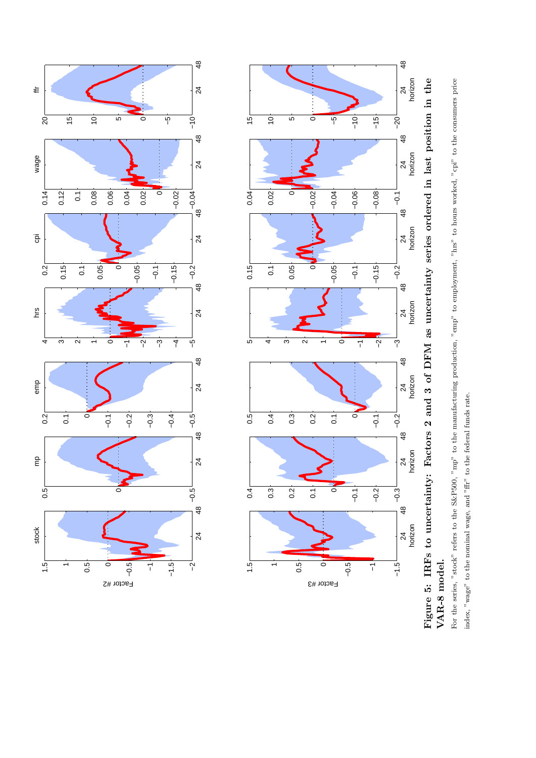![](_page_25_Figure_0.jpeg)

![](_page_25_Figure_1.jpeg)

For the series, "stock" refers to the S&P500, "mp" to the manufacturing production, "emp" to employment, "hrs" to hours worked, "cpi" to the consumers price For the series, "stock" refers to the S&P500, "mp" to the manufacturing production, "emp" to employment, "hrs" to hours worked, "cpi" to the consumers price VAR-8 model. VAR-8 model.

index, "wage" to the nominal wage, and "ffr" to the federal funds rate. index, "wage" to the nominal wage, and "ffr" to the federal funds rate.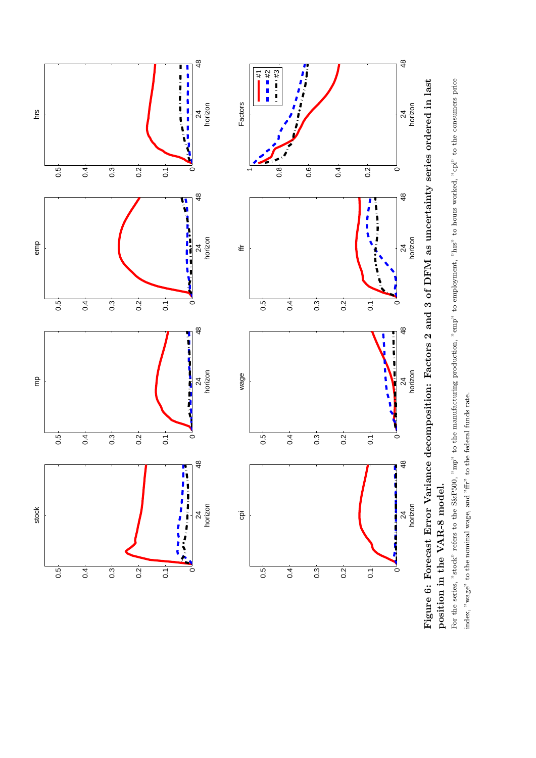![](_page_26_Figure_0.jpeg)

position in the VAR-8 model. position in the VAR-8 model.

For the series, "stock" refers to the S&P500, "mp" to the manufacturing production, "emp" to employment, "hrs" to hours worked, "cpi" to the consumers price For the series, "stock" refers to the S&P500, "mp" to the manufacturing production, "emp" to employment, "hrs" to hours worked, "cpi" to the consumers price index, "wage" to the nominal wage, and "ffr" to the federal funds rate. index, "wage" to the nominal wage, and "ffr" to the federal funds rate.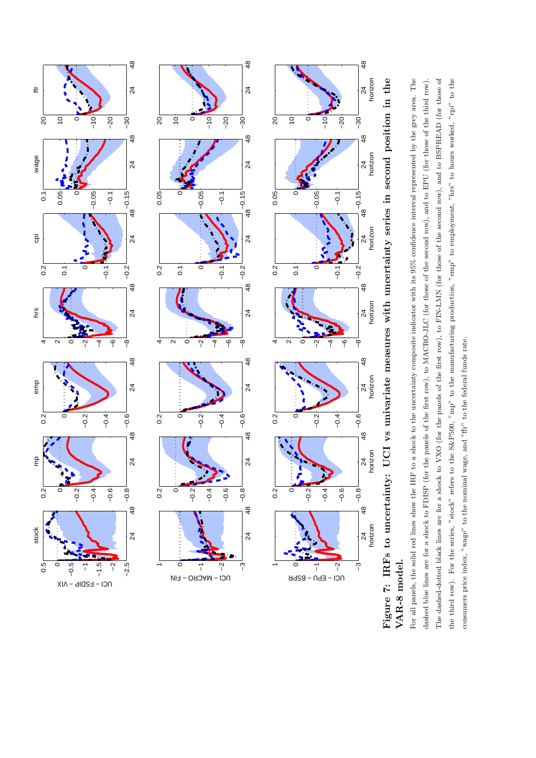![](_page_27_Figure_0.jpeg)

![](_page_27_Figure_1.jpeg)

For all panels, the solid red lines show the IRF to a shock to the uncertainty composite indicator with its 95% confidence interval represented by the grey area. The The dashed-dotted black lines are for a shock to VXO (for the panels of the first row), to FIN-LMN (for those of the second row), and to BSPREAD (for those of the third row). For the series, "stock" refers to the S&P500, "mp" to the manufacturing production, "emp" to employment, "hrs" to hours worked, "cpi" to the For all panels, the solid red lines show the IRF to a shock to the uncertainty composite indicator with its 95% confidence interval represented by the grey area. The dashed blue lines are for a shock to FDISP (for the panels of the first row), to MACRO-JLC (for those of the second row), and to EPU (for those of the third row). The dashed-dotted black lines are for a shock to VXO (for the panels of the first row), to FIN-LMN (for those of the second row), and to BSPREAD (for those of the third row). For the series, "stock" refers to the S&P500, "mp" to the manufacturing production, "emp" to employment, "hrs" to hours worked, "cpi" to the dashed blue lines are for a shock to FDISP (for the panels of the first row), to MACRO-JLC (for those of the second row), and to EPU (for those of the third row). consumers price index,  $v$  wage<sup>3</sup> to the nominal wage, and  $v$  fir<sup>3</sup> to the federal funds rate. consumers price index, "wage" to the nominal wage, and "ffr" to the federal funds rate.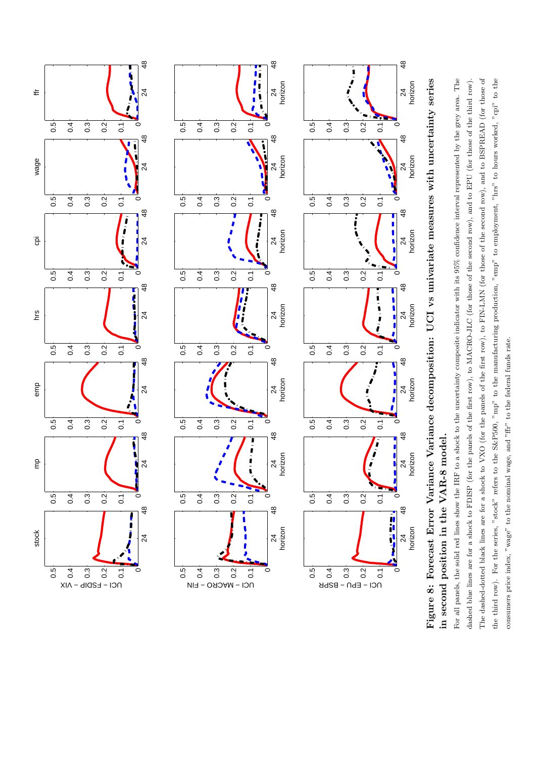![](_page_28_Figure_0.jpeg)

Figure 8: Forecast Error Variance Variance decomposition: UCI vs univariate measures with uncertainty series Figure 8: Forecast Error Variance Variance decomposition: UCI vs univariate measures with uncertainty series in second position in the VAR-8 model. in second position in the VAR-8 model.

For all panels, the solid red lines show the IRF to a shock to the uncertainty composite indicator with its  $95\%$  confidence interval represented by the grey area. The For all panels, the solid red lines show the IRF to a shock to the uncertainty composite indicator with its 95% confidence interval represented by the grey area. The dashed blue lines are for a shock to FDISP (for the panels of the first row), to MACRO-JLC (for those of the second row), and to EPU (for those of the third row). The dashed-dotted black lines are for a shock to VXO (for the panels of the first row), to FIN-LMN (for those of the second row), and to BSPREAD (for those of The dashed-dotted black lines are for a shock to VXO (for the panels of the first row), to FIN-LMN (for those of the second row), and to BSPREAD (for those of the third row). For the series, "stock" refers to the S&P500, "mp" to the manufacturing production, "emp" to employment, "hrs" to hours worked, "cpi" to the the third row). For the series, "stock" refers to the S&P500, "mp" to the manufacturing production, "emp" to employment, "hrs" to hours worked, "cpi" to the dashed blue lines are for a shock to FDISP (for the panels of the first row), to MACRO-JLC (for those of the second row), and to EPU (for those of the third row). consumers price index, "wage" to the nominal wage, and "fir" to the federal funds rate. consumers price index, "wage" to the nominal wage, and "ffr" to the federal funds rate.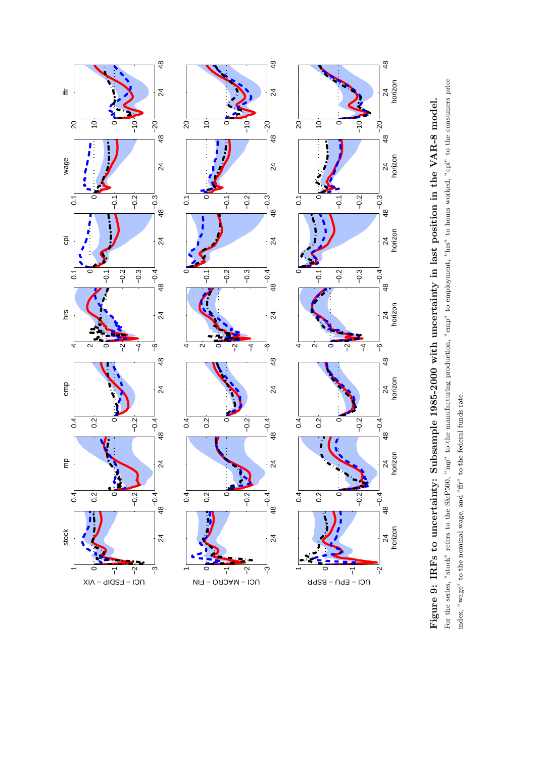![](_page_29_Figure_0.jpeg)

![](_page_29_Figure_1.jpeg)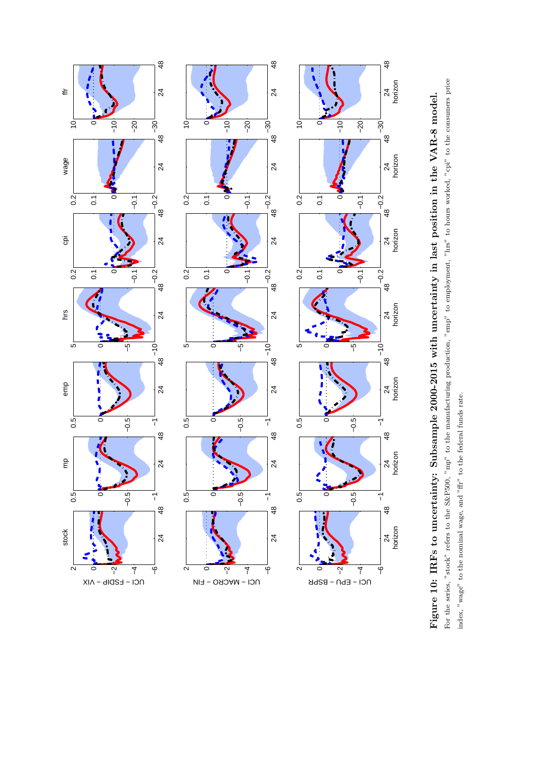![](_page_30_Figure_0.jpeg)

![](_page_30_Figure_1.jpeg)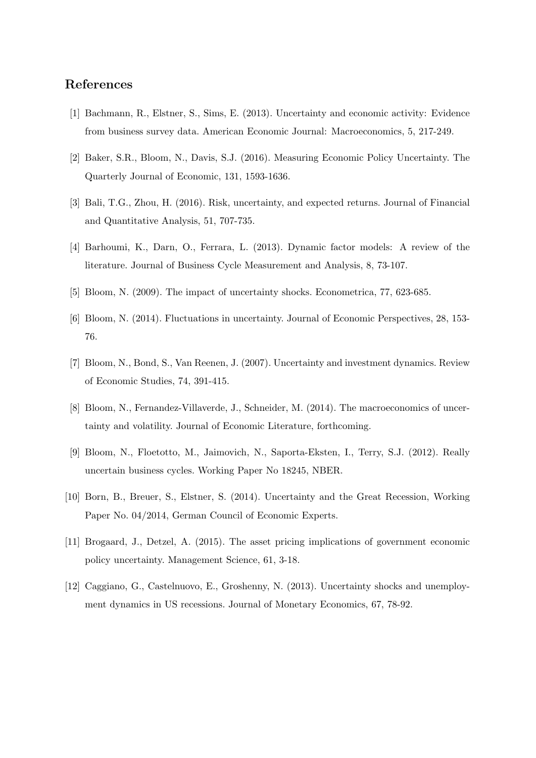#### References

- [1] Bachmann, R., Elstner, S., Sims, E. (2013). Uncertainty and economic activity: Evidence from business survey data. American Economic Journal: Macroeconomics, 5, 217-249.
- [2] Baker, S.R., Bloom, N., Davis, S.J. (2016). Measuring Economic Policy Uncertainty. The Quarterly Journal of Economic, 131, 1593-1636.
- [3] Bali, T.G., Zhou, H. (2016). Risk, uncertainty, and expected returns. Journal of Financial and Quantitative Analysis, 51, 707-735.
- [4] Barhoumi, K., Darn, O., Ferrara, L. (2013). Dynamic factor models: A review of the literature. Journal of Business Cycle Measurement and Analysis, 8, 73-107.
- [5] Bloom, N. (2009). The impact of uncertainty shocks. Econometrica, 77, 623-685.
- [6] Bloom, N. (2014). Fluctuations in uncertainty. Journal of Economic Perspectives, 28, 153- 76.
- [7] Bloom, N., Bond, S., Van Reenen, J. (2007). Uncertainty and investment dynamics. Review of Economic Studies, 74, 391-415.
- [8] Bloom, N., Fernandez-Villaverde, J., Schneider, M. (2014). The macroeconomics of uncertainty and volatility. Journal of Economic Literature, forthcoming.
- [9] Bloom, N., Floetotto, M., Jaimovich, N., Saporta-Eksten, I., Terry, S.J. (2012). Really uncertain business cycles. Working Paper No 18245, NBER.
- [10] Born, B., Breuer, S., Elstner, S. (2014). Uncertainty and the Great Recession, Working Paper No. 04/2014, German Council of Economic Experts.
- [11] Brogaard, J., Detzel, A. (2015). The asset pricing implications of government economic policy uncertainty. Management Science, 61, 3-18.
- [12] Caggiano, G., Castelnuovo, E., Groshenny, N. (2013). Uncertainty shocks and unemployment dynamics in US recessions. Journal of Monetary Economics, 67, 78-92.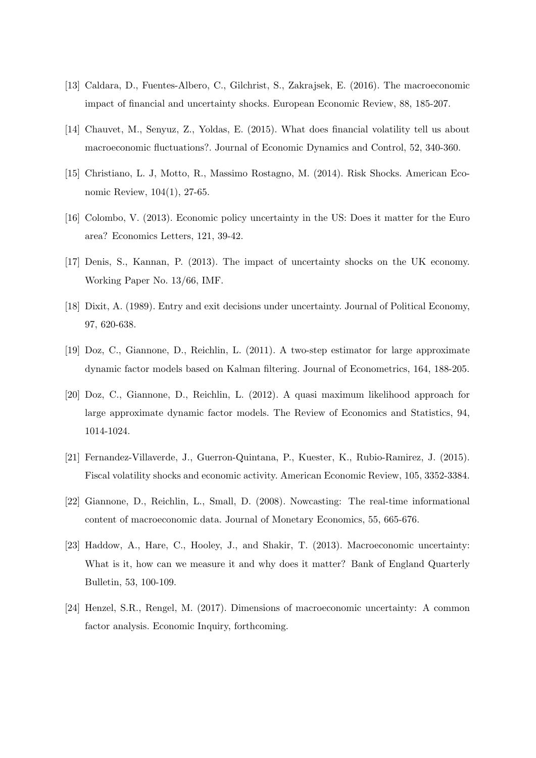- [13] Caldara, D., Fuentes-Albero, C., Gilchrist, S., Zakrajsek, E. (2016). The macroeconomic impact of financial and uncertainty shocks. European Economic Review, 88, 185-207.
- [14] Chauvet, M., Senyuz, Z., Yoldas, E. (2015). What does financial volatility tell us about macroeconomic fluctuations?. Journal of Economic Dynamics and Control, 52, 340-360.
- [15] Christiano, L. J, Motto, R., Massimo Rostagno, M. (2014). Risk Shocks. American Economic Review, 104(1), 27-65.
- [16] Colombo, V. (2013). Economic policy uncertainty in the US: Does it matter for the Euro area? Economics Letters, 121, 39-42.
- [17] Denis, S., Kannan, P. (2013). The impact of uncertainty shocks on the UK economy. Working Paper No. 13/66, IMF.
- [18] Dixit, A. (1989). Entry and exit decisions under uncertainty. Journal of Political Economy, 97, 620-638.
- [19] Doz, C., Giannone, D., Reichlin, L. (2011). A two-step estimator for large approximate dynamic factor models based on Kalman filtering. Journal of Econometrics, 164, 188-205.
- [20] Doz, C., Giannone, D., Reichlin, L. (2012). A quasi maximum likelihood approach for large approximate dynamic factor models. The Review of Economics and Statistics, 94, 1014-1024.
- [21] Fernandez-Villaverde, J., Guerron-Quintana, P., Kuester, K., Rubio-Ramirez, J. (2015). Fiscal volatility shocks and economic activity. American Economic Review, 105, 3352-3384.
- [22] Giannone, D., Reichlin, L., Small, D. (2008). Nowcasting: The real-time informational content of macroeconomic data. Journal of Monetary Economics, 55, 665-676.
- [23] Haddow, A., Hare, C., Hooley, J., and Shakir, T. (2013). Macroeconomic uncertainty: What is it, how can we measure it and why does it matter? Bank of England Quarterly Bulletin, 53, 100-109.
- [24] Henzel, S.R., Rengel, M. (2017). Dimensions of macroeconomic uncertainty: A common factor analysis. Economic Inquiry, forthcoming.